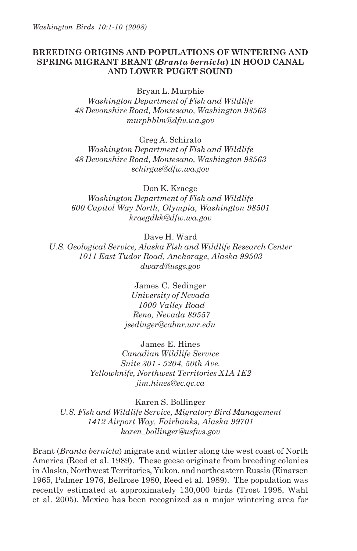# **BREEDING ORIGINS AND POPULATIONS OF WINTERING AND SPRING MIGRANT BRANT (***Branta bernicla***) IN HOOD CANAL AND LOWER PUGET SOUND**

Bryan L. Murphie

*Washington Department of Fish and Wildlife 48 Devonshire Road, Montesano, Washington 98563 murphblm@dfw.wa.gov*

Greg A. Schirato

*Washington Department of Fish and Wildlife 48 Devonshire Road, Montesano, Washington 98563 schirgas@dfw.wa.gov*

Don K. Kraege

*Washington Department of Fish and Wildlife 600 Capitol Way North, Olympia, Washington 98501 kraegdkk@dfw.wa.gov*

Dave H. Ward

*U.S. Geological Service, Alaska Fish and Wildlife Research Center 1011 East Tudor Road, Anchorage, Alaska 99503 dward@usgs.gov*

> James C. Sedinger *University of Nevada 1000 Valley Road Reno, Nevada 89557 jsedinger@cabnr.unr.edu*

James E. Hines *Canadian Wildlife Service Suite 301 - 5204, 50th Ave. Yellowknife, Northwest Territories X1A 1E2 jim.hines@ec.qc.ca*

Karen S. Bollinger *U.S. Fish and Wildlife Service, Migratory Bird Management 1412 Airport Way, Fairbanks, Alaska 99701 karen\_bollinger@usfws.gov*

Brant (*Branta bernicla*) migrate and winter along the west coast of North America (Reed et al. 1989). These geese originate from breeding colonies in Alaska, Northwest Territories, Yukon, and northeastern Russia (Einarsen 1965, Palmer 1976, Bellrose 1980, Reed et al. 1989). The population was recently estimated at approximately 130,000 birds (Trost 1998, Wahl et al. 2005). Mexico has been recognized as a major wintering area for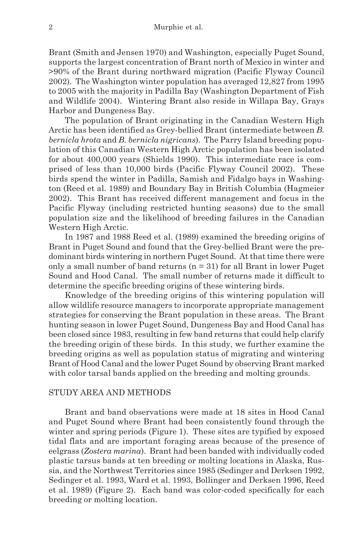Brant (Smith and Jensen 1970) and Washington, especially Puget Sound, supports the largest concentration of Brant north of Mexico in winter and >90% of the Brant during northward migration (Pacific Flyway Council 2002). The Washington winter population has averaged 12,827 from 1995 to 2005 with the majority in Padilla Bay (Washington Department of Fish and Wildlife 2004). Wintering Brant also reside in Willapa Bay, Grays Harbor and Dungeness Bay.

The population of Brant originating in the Canadian Western High Arctic has been identified as Grey-bellied Brant (intermediate between *B. bernicla hrota* and *B. bernicla nigricans*). The Parry Island breeding population of this Canadian Western High Arctic population has been isolated for about 400,000 years (Shields 1990). This intermediate race is comprised of less than 10,000 birds (Pacific Flyway Council 2002). These birds spend the winter in Padilla, Samish and Fidalgo bays in Washington (Reed et al. 1989) and Boundary Bay in British Columbia (Hagmeier 2002). This Brant has received different management and focus in the Pacific Flyway (including restricted hunting seasons) due to the small population size and the likelihood of breeding failures in the Canadian Western High Arctic.

In 1987 and 1988 Reed et al. (1989) examined the breeding origins of Brant in Puget Sound and found that the Grey-bellied Brant were the predominant birds wintering in northern Puget Sound. At that time there were only a small number of band returns  $(n = 31)$  for all Brant in lower Puget Sound and Hood Canal. The small number of returns made it difficult to determine the specific breeding origins of these wintering birds.

Knowledge of the breeding origins of this wintering population will allow wildlife resource managers to incorporate appropriate management strategies for conserving the Brant population in these areas. The Brant hunting season in lower Puget Sound, Dungeness Bay and Hood Canal has been closed since 1983, resulting in few band returns that could help clarify the breeding origin of these birds. In this study, we further examine the breeding origins as well as population status of migrating and wintering Brant of Hood Canal and the lower Puget Sound by observing Brant marked with color tarsal bands applied on the breeding and molting grounds.

## STUDY AREA AND METHODS

Brant and band observations were made at 18 sites in Hood Canal and Puget Sound where Brant had been consistently found through the winter and spring periods (Figure 1). These sites are typified by exposed tidal flats and are important foraging areas because of the presence of eelgrass (*Zostera marina*). Brant had been banded with individually coded plastic tarsus bands at ten breeding or molting locations in Alaska, Russia, and the Northwest Territories since 1985 (Sedinger and Derksen 1992, Sedinger et al. 1993, Ward et al. 1993, Bollinger and Derksen 1996, Reed et al. 1989) (Figure 2). Each band was color-coded specifically for each breeding or molting location.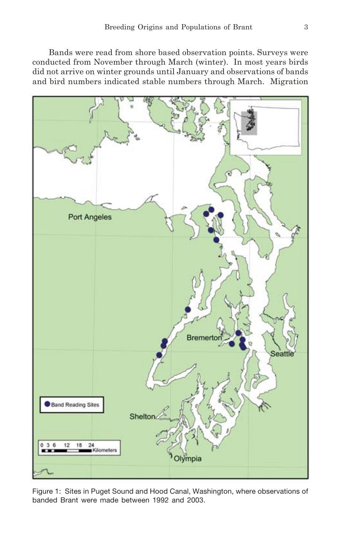Bands were read from shore based observation points. Surveys were conducted from November through March (winter). In most years birds did not arrive on winter grounds until January and observations of bands and bird numbers indicated stable numbers through March. Migration



Figure 1: Sites in Puget Sound and Hood Canal, Washington, where observations of banded Brant were made between 1992 and 2003.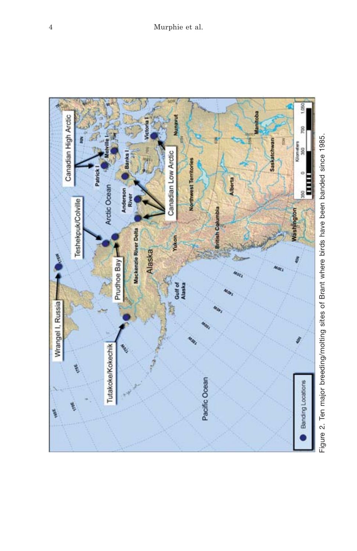

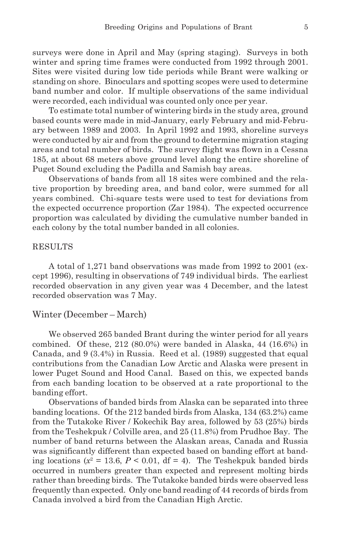surveys were done in April and May (spring staging). Surveys in both winter and spring time frames were conducted from 1992 through 2001. Sites were visited during low tide periods while Brant were walking or standing on shore. Binoculars and spotting scopes were used to determine band number and color. If multiple observations of the same individual were recorded, each individual was counted only once per year.

To estimate total number of wintering birds in the study area, ground based counts were made in mid-January, early February and mid-February between 1989 and 2003. In April 1992 and 1993, shoreline surveys were conducted by air and from the ground to determine migration staging areas and total number of birds. The survey flight was flown in a Cessna 185, at about 68 meters above ground level along the entire shoreline of Puget Sound excluding the Padilla and Samish bay areas.

Observations of bands from all 18 sites were combined and the relative proportion by breeding area, and band color, were summed for all years combined. Chi-square tests were used to test for deviations from the expected occurrence proportion (Zar 1984). The expected occurrence proportion was calculated by dividing the cumulative number banded in each colony by the total number banded in all colonies.

#### RESULTS

A total of 1,271 band observations was made from 1992 to 2001 (except 1996), resulting in observations of 749 individual birds. The earliest recorded observation in any given year was 4 December, and the latest recorded observation was 7 May.

#### Winter (December – March)

We observed 265 banded Brant during the winter period for all years combined. Of these, 212 (80.0%) were banded in Alaska, 44 (16.6%) in Canada, and 9 (3.4%) in Russia. Reed et al. (1989) suggested that equal contributions from the Canadian Low Arctic and Alaska were present in lower Puget Sound and Hood Canal. Based on this, we expected bands from each banding location to be observed at a rate proportional to the banding effort.

Observations of banded birds from Alaska can be separated into three banding locations. Of the 212 banded birds from Alaska, 134 (63.2%) came from the Tutakoke River / Kokechik Bay area, followed by 53 (25%) birds from the Teshekpuk / Colville area, and 25 (11.8%) from Prudhoe Bay. The number of band returns between the Alaskan areas, Canada and Russia was significantly different than expected based on banding effort at banding locations ( $x^2 = 13.6$ ,  $P < 0.01$ , df = 4). The Teshekpuk banded birds occurred in numbers greater than expected and represent molting birds rather than breeding birds. The Tutakoke banded birds were observed less frequently than expected. Only one band reading of 44 records of birds from Canada involved a bird from the Canadian High Arctic.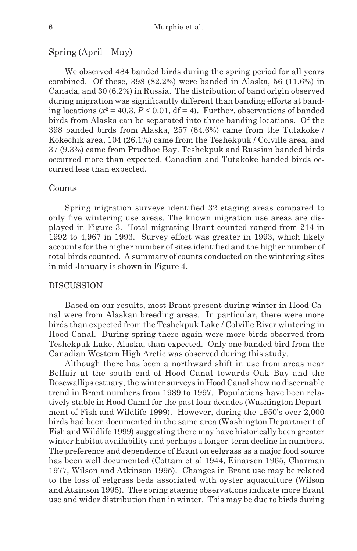# Spring (April – May)

We observed 484 banded birds during the spring period for all years combined. Of these, 398 (82.2%) were banded in Alaska, 56 (11.6%) in Canada, and 30 (6.2%) in Russia. The distribution of band origin observed during migration was significantly different than banding efforts at banding locations  $(x^2 = 40.3, P < 0.01, df = 4)$ . Further, observations of banded birds from Alaska can be separated into three banding locations. Of the 398 banded birds from Alaska, 257 (64.6%) came from the Tutakoke / Kokechik area, 104 (26.1%) came from the Teshekpuk / Colville area, and 37 (9.3%) came from Prudhoe Bay. Teshekpuk and Russian banded birds occurred more than expected. Canadian and Tutakoke banded birds occurred less than expected.

# Counts

Spring migration surveys identified 32 staging areas compared to only five wintering use areas. The known migration use areas are displayed in Figure 3. Total migrating Brant counted ranged from 214 in 1992 to 4,967 in 1993. Survey effort was greater in 1993, which likely accounts for the higher number of sites identified and the higher number of total birds counted. A summary of counts conducted on the wintering sites in mid-January is shown in Figure 4.

#### DISCUSSION

Based on our results, most Brant present during winter in Hood Canal were from Alaskan breeding areas. In particular, there were more birds than expected from the Teshekpuk Lake / Colville River wintering in Hood Canal. During spring there again were more birds observed from Teshekpuk Lake, Alaska, than expected. Only one banded bird from the Canadian Western High Arctic was observed during this study.

Although there has been a northward shift in use from areas near Belfair at the south end of Hood Canal towards Oak Bay and the Dosewallips estuary, the winter surveys in Hood Canal show no discernable trend in Brant numbers from 1989 to 1997. Populations have been relatively stable in Hood Canal for the past four decades (Washington Department of Fish and Wildlife 1999). However, during the 1950's over 2,000 birds had been documented in the same area (Washington Department of Fish and Wildlife 1999) suggesting there may have historically been greater winter habitat availability and perhaps a longer-term decline in numbers. The preference and dependence of Brant on eelgrass as a major food source has been well documented (Cottam et al 1944, Einarsen 1965, Charman 1977, Wilson and Atkinson 1995). Changes in Brant use may be related to the loss of eelgrass beds associated with oyster aquaculture (Wilson and Atkinson 1995). The spring staging observations indicate more Brant use and wider distribution than in winter. This may be due to birds during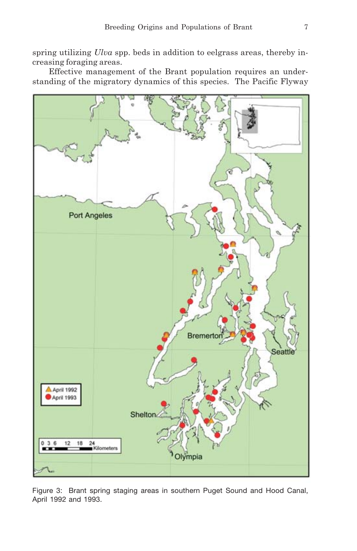spring utilizing *Ulva* spp. beds in addition to eelgrass areas, thereby increasing foraging areas.

Effective management of the Brant population requires an understanding of the migratory dynamics of this species. The Pacific Flyway



Figure 3: Brant spring staging areas in southern Puget Sound and Hood Canal, April 1992 and 1993.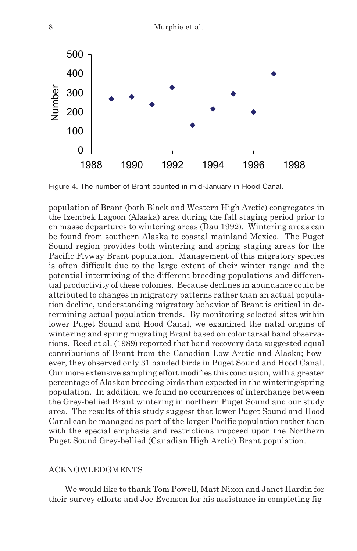

Figure 4. The number of Brant counted in mid-January in Hood Canal.

population of Brant (both Black and Western High Arctic) congregates in the Izembek Lagoon (Alaska) area during the fall staging period prior to en masse departures to wintering areas (Dau 1992). Wintering areas can be found from southern Alaska to coastal mainland Mexico. The Puget Sound region provides both wintering and spring staging areas for the Pacific Flyway Brant population. Management of this migratory species is often difficult due to the large extent of their winter range and the potential intermixing of the different breeding populations and differential productivity of these colonies. Because declines in abundance could be attributed to changes in migratory patterns rather than an actual population decline, understanding migratory behavior of Brant is critical in determining actual population trends. By monitoring selected sites within lower Puget Sound and Hood Canal, we examined the natal origins of wintering and spring migrating Brant based on color tarsal band observations. Reed et al. (1989) reported that band recovery data suggested equal contributions of Brant from the Canadian Low Arctic and Alaska; however, they observed only 31 banded birds in Puget Sound and Hood Canal. Our more extensive sampling effort modifies this conclusion, with a greater percentage of Alaskan breeding birds than expected in the wintering/spring population. In addition, we found no occurrences of interchange between the Grey-bellied Brant wintering in northern Puget Sound and our study area. The results of this study suggest that lower Puget Sound and Hood Canal can be managed as part of the larger Pacific population rather than with the special emphasis and restrictions imposed upon the Northern Puget Sound Grey-bellied (Canadian High Arctic) Brant population.

# ACKNOWLEDGMENTS

We would like to thank Tom Powell, Matt Nixon and Janet Hardin for their survey efforts and Joe Evenson for his assistance in completing fig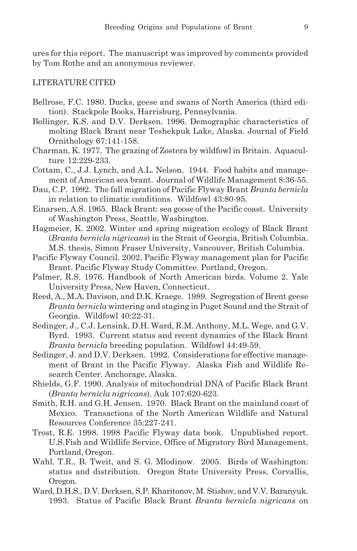ures for this report. The manuscript was improved by comments provided by Tom Rothe and an anonymous reviewer.

## LITERATURE CITED

- Bellrose, F.C. 1980. Ducks, geese and swans of North America (third edition). Stackpole Books, Harrisburg, Pennsylvania.
- Bollinger, K.S. and D.V. Derksen. 1996. Demographic characteristics of molting Black Brant near Teshekpuk Lake, Alaska. Journal of Field Ornithology 67:141-158.
- Charman, K. 1977. The grazing of Zostera by wildfowl in Britain. Aquaculture 12:229-233.
- Cottam, C., J.J. Lynch, and A.L. Nelson. 1944. Food habits and management of American sea brant. Journal of Wildlife Management 8:36-55.
- Dau, C.P. 1992. The fall migration of Pacific Flyway Brant *Branta bernicla* in relation to climatic conditions. Wildfowl 43:80-95.
- Einarsen, A.S. 1965. Black Brant: sea goose of the Pacific coast. University of Washington Press, Seattle, Washington.
- Hagmeier, K. 2002. Winter and spring migration ecology of Black Brant (*Branta bernicla nigricans*) in the Strait of Georgia, British Columbia. M.S. thesis, Simon Fraser University, Vancouver, British Columbia.
- Pacific Flyway Council. 2002. Pacific Flyway management plan for Pacific Brant. Pacific Flyway Study Committee. Portland, Oregon.
- Palmer, R.S. 1976. Handbook of North American birds. Volume 2. Yale University Press, New Haven, Connecticut.
- Reed, A., M.A. Davison, and D.K. Kraege. 1989. Segregation of Brent geese *Branta bernicla* wintering and staging in Puget Sound and the Strait of Georgia. Wildfowl 40:22-31.
- Sedinger, J., C.J. Lensink, D.H. Ward, R.M. Anthony, M.L. Wege, and G.V. Byrd. 1993. Current status and recent dynamics of the Black Brant *Branta bernicla* breeding population. Wildfowl 44:49-59.
- Sedinger, J. and D.V. Derksen. 1992. Considerations for effective management of Brant in the Pacific Flyway. Alaska Fish and Wildlife Research Center. Anchorage, Alaska.
- Shields, G.F. 1990. Analysis of mitochondrial DNA of Pacific Black Brant (*Branta bernicla nigricans*). Auk 107:620-623.
- Smith, R.H. and G.H. Jensen. 1970. Black Brant on the mainland coast of Mexico. Transactions of the North American Wildlife and Natural Resources Conference 35:227-241.
- Trost, R.E. 1998. 1998 Pacific Flyway data book. Unpublished report. U.S.Fish and Wildlife Service, Office of Migratory Bird Management, Portland, Oregon.
- Wahl, T.R., B. Tweit, and S. G. Mlodinow. 2005. Birds of Washington: status and distribution. Oregon State University Press, Corvallis, Oregon.
- Ward, D.H.S., D.V. Derksen, S.P. Kharitonov, M. Stishov, and V.V. Baranyuk. 1993. Status of Pacific Black Brant *Branta bernicla nigricans* on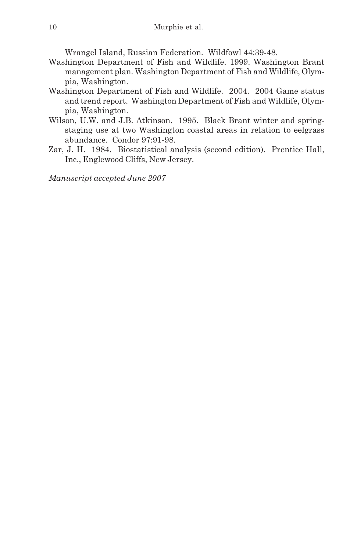Wrangel Island, Russian Federation. Wildfowl 44:39-48.

- Washington Department of Fish and Wildlife. 1999. Washington Brant management plan. Washington Department of Fish and Wildlife, Olympia, Washington.
- Washington Department of Fish and Wildlife. 2004. 2004 Game status and trend report. Washington Department of Fish and Wildlife, Olympia, Washington.
- Wilson, U.W. and J.B. Atkinson. 1995. Black Brant winter and springstaging use at two Washington coastal areas in relation to eelgrass abundance. Condor 97:91-98.
- Zar, J. H. 1984. Biostatistical analysis (second edition). Prentice Hall, Inc., Englewood Cliffs, New Jersey.

*Manuscript accepted June 2007*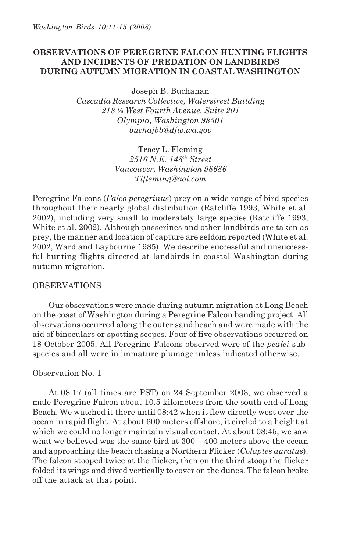# **OBSERVATIONS OF PEREGRINE FALCON HUNTING FLIGHTS AND INCIDENTS OF PREDATION ON LANDBIRDS DURING AUTUMN MIGRATION IN COASTAL WASHINGTON**

Joseph B. Buchanan *Cascadia Research Collective, Waterstreet Building 218 ½ West Fourth Avenue, Suite 201 Olympia, Washington 98501 buchajbb@dfw.wa.gov*

> Tracy L. Fleming *2516 N.E. 148th Street Vancouver, Washington 98686 Tlfleming@aol.com*

Peregrine Falcons (*Falco peregrinus*) prey on a wide range of bird species throughout their nearly global distribution (Ratcliffe 1993, White et al. 2002), including very small to moderately large species (Ratcliffe 1993, White et al. 2002). Although passerines and other landbirds are taken as prey, the manner and location of capture are seldom reported (White et al. 2002, Ward and Laybourne 1985). We describe successful and unsuccessful hunting flights directed at landbirds in coastal Washington during autumn migration.

## OBSERVATIONS

Our observations were made during autumn migration at Long Beach on the coast of Washington during a Peregrine Falcon banding project. All observations occurred along the outer sand beach and were made with the aid of binoculars or spotting scopes. Four of five observations occurred on 18 October 2005. All Peregrine Falcons observed were of the *pealei* subspecies and all were in immature plumage unless indicated otherwise.

### Observation No. 1

At 08:17 (all times are PST) on 24 September 2003, we observed a male Peregrine Falcon about 10.5 kilometers from the south end of Long Beach. We watched it there until 08:42 when it flew directly west over the ocean in rapid flight. At about 600 meters offshore, it circled to a height at which we could no longer maintain visual contact. At about 08:45, we saw what we believed was the same bird at  $300 - 400$  meters above the ocean and approaching the beach chasing a Northern Flicker (*Colaptes auratus*). The falcon stooped twice at the flicker, then on the third stoop the flicker folded its wings and dived vertically to cover on the dunes. The falcon broke off the attack at that point.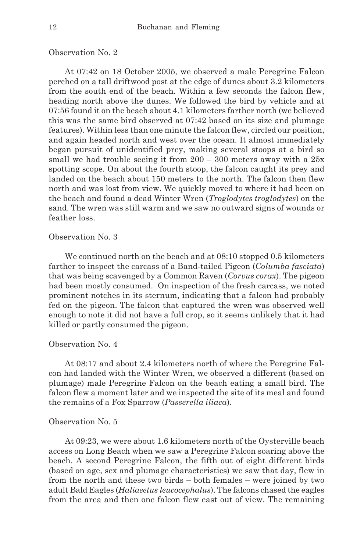### Observation No. 2

At 07:42 on 18 October 2005, we observed a male Peregrine Falcon perched on a tall driftwood post at the edge of dunes about 3.2 kilometers from the south end of the beach. Within a few seconds the falcon flew, heading north above the dunes. We followed the bird by vehicle and at 07:56 found it on the beach about 4.1 kilometers farther north (we believed this was the same bird observed at 07:42 based on its size and plumage features). Within less than one minute the falcon flew, circled our position, and again headed north and west over the ocean. It almost immediately began pursuit of unidentified prey, making several stoops at a bird so small we had trouble seeing it from  $200 - 300$  meters away with a  $25x$ spotting scope. On about the fourth stoop, the falcon caught its prey and landed on the beach about 150 meters to the north. The falcon then flew north and was lost from view. We quickly moved to where it had been on the beach and found a dead Winter Wren (*Troglodytes troglodytes*) on the sand. The wren was still warm and we saw no outward signs of wounds or feather loss.

## Observation No. 3

We continued north on the beach and at 08:10 stopped 0.5 kilometers farther to inspect the carcass of a Band-tailed Pigeon (*Columba fasciata*) that was being scavenged by a Common Raven (*Corvus corax*). The pigeon had been mostly consumed. On inspection of the fresh carcass, we noted prominent notches in its sternum, indicating that a falcon had probably fed on the pigeon. The falcon that captured the wren was observed well enough to note it did not have a full crop, so it seems unlikely that it had killed or partly consumed the pigeon.

### Observation No. 4

At 08:17 and about 2.4 kilometers north of where the Peregrine Falcon had landed with the Winter Wren, we observed a different (based on plumage) male Peregrine Falcon on the beach eating a small bird. The falcon flew a moment later and we inspected the site of its meal and found the remains of a Fox Sparrow (*Passerella iliaca*).

#### Observation No. 5

At 09:23, we were about 1.6 kilometers north of the Oysterville beach access on Long Beach when we saw a Peregrine Falcon soaring above the beach. A second Peregrine Falcon, the fifth out of eight different birds (based on age, sex and plumage characteristics) we saw that day, flew in from the north and these two birds – both females – were joined by two adult Bald Eagles (*Haliaeetus leucocephalus*). The falcons chased the eagles from the area and then one falcon flew east out of view. The remaining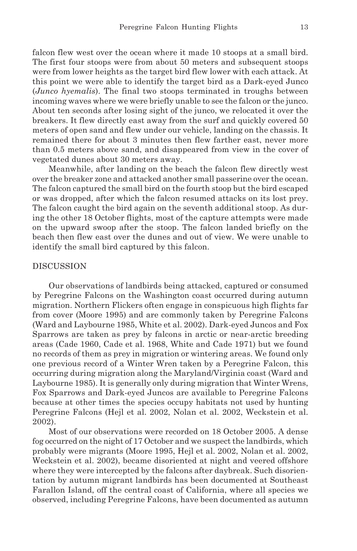falcon flew west over the ocean where it made 10 stoops at a small bird. The first four stoops were from about 50 meters and subsequent stoops were from lower heights as the target bird flew lower with each attack. At this point we were able to identify the target bird as a Dark-eyed Junco (*Junco hyemalis*). The final two stoops terminated in troughs between incoming waves where we were briefly unable to see the falcon or the junco. About ten seconds after losing sight of the junco, we relocated it over the breakers. It flew directly east away from the surf and quickly covered 50 meters of open sand and flew under our vehicle, landing on the chassis. It remained there for about 3 minutes then flew farther east, never more than 0.5 meters above sand, and disappeared from view in the cover of vegetated dunes about 30 meters away.

Meanwhile, after landing on the beach the falcon flew directly west over the breaker zone and attacked another small passerine over the ocean. The falcon captured the small bird on the fourth stoop but the bird escaped or was dropped, after which the falcon resumed attacks on its lost prey. The falcon caught the bird again on the seventh additional stoop. As during the other 18 October flights, most of the capture attempts were made on the upward swoop after the stoop. The falcon landed briefly on the beach then flew east over the dunes and out of view. We were unable to identify the small bird captured by this falcon.

### **DISCUSSION**

Our observations of landbirds being attacked, captured or consumed by Peregrine Falcons on the Washington coast occurred during autumn migration. Northern Flickers often engage in conspicuous high flights far from cover (Moore 1995) and are commonly taken by Peregrine Falcons (Ward and Laybourne 1985, White et al. 2002). Dark-eyed Juncos and Fox Sparrows are taken as prey by falcons in arctic or near-arctic breeding areas (Cade 1960, Cade et al. 1968, White and Cade 1971) but we found no records of them as prey in migration or wintering areas. We found only one previous record of a Winter Wren taken by a Peregrine Falcon, this occurring during migration along the Maryland/Virginia coast (Ward and Laybourne 1985). It is generally only during migration that Winter Wrens, Fox Sparrows and Dark-eyed Juncos are available to Peregrine Falcons because at other times the species occupy habitats not used by hunting Peregrine Falcons (Hejl et al. 2002, Nolan et al. 2002, Weckstein et al. 2002).

Most of our observations were recorded on 18 October 2005. A dense fog occurred on the night of 17 October and we suspect the landbirds, which probably were migrants (Moore 1995, Hejl et al. 2002, Nolan et al. 2002, Weckstein et al. 2002), became disoriented at night and veered offshore where they were intercepted by the falcons after daybreak. Such disorientation by autumn migrant landbirds has been documented at Southeast Farallon Island, off the central coast of California, where all species we observed, including Peregrine Falcons, have been documented as autumn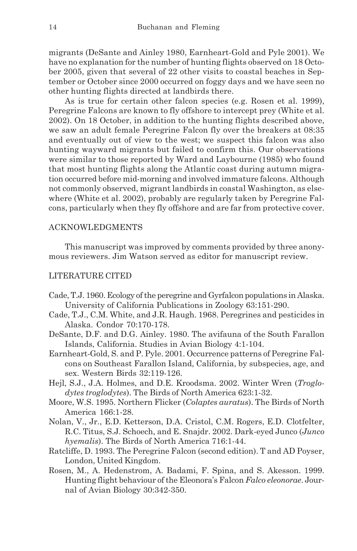migrants (DeSante and Ainley 1980, Earnheart-Gold and Pyle 2001). We have no explanation for the number of hunting flights observed on 18 October 2005, given that several of 22 other visits to coastal beaches in September or October since 2000 occurred on foggy days and we have seen no other hunting flights directed at landbirds there.

As is true for certain other falcon species (e.g. Rosen et al. 1999), Peregrine Falcons are known to fly offshore to intercept prey (White et al. 2002). On 18 October, in addition to the hunting flights described above, we saw an adult female Peregrine Falcon fly over the breakers at 08:35 and eventually out of view to the west; we suspect this falcon was also hunting wayward migrants but failed to confirm this. Our observations were similar to those reported by Ward and Laybourne (1985) who found that most hunting flights along the Atlantic coast during autumn migration occurred before mid-morning and involved immature falcons. Although not commonly observed, migrant landbirds in coastal Washington, as elsewhere (White et al. 2002), probably are regularly taken by Peregrine Falcons, particularly when they fly offshore and are far from protective cover.

## ACKNOWLEDGMENTS

This manuscript was improved by comments provided by three anonymous reviewers. Jim Watson served as editor for manuscript review.

## LITERATURE CITED

- Cade, T.J. 1960. Ecology of the peregrine and Gyrfalcon populations in Alaska. University of California Publications in Zoology 63:151-290.
- Cade, T.J., C.M. White, and J.R. Haugh. 1968. Peregrines and pesticides in Alaska. Condor 70:170-178.
- DeSante, D.F. and D.G. Ainley. 1980. The avifauna of the South Farallon Islands, California. Studies in Avian Biology 4:1-104.
- Earnheart-Gold, S. and P. Pyle. 2001. Occurrence patterns of Peregrine Falcons on Southeast Farallon Island, California, by subspecies, age, and sex. Western Birds 32:119-126.
- Hejl, S.J., J.A. Holmes, and D.E. Kroodsma. 2002. Winter Wren (*Troglodytes troglodytes*). The Birds of North America 623:1-32.
- Moore, W.S. 1995. Northern Flicker (*Colaptes auratus*). The Birds of North America 166:1-28.
- Nolan, V., Jr., E.D. Ketterson, D.A. Cristol, C.M. Rogers, E.D. Clotfelter, R.C. Titus, S.J. Schoech, and E. Snajdr. 2002. Dark-eyed Junco (*Junco hyemalis*). The Birds of North America 716:1-44.
- Ratcliffe, D. 1993. The Peregrine Falcon (second edition). T and AD Poyser, London, United Kingdom.
- Rosen, M., A. Hedenstrom, A. Badami, F. Spina, and S. Akesson. 1999. Hunting flight behaviour of the Eleonora's Falcon *Falco eleonorae*. Journal of Avian Biology 30:342-350.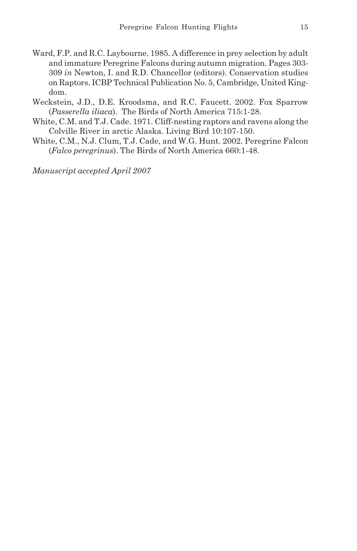- Ward, F.P. and R.C. Laybourne. 1985. A difference in prey selection by adult and immature Peregrine Falcons during autumn migration. Pages 303- 309 *in* Newton, I. and R.D. Chancellor (editors). Conservation studies on Raptors. ICBP Technical Publication No. 5, Cambridge, United Kingdom.
- Weckstein, J.D., D.E. Kroodsma, and R.C. Faucett. 2002. Fox Sparrow (*Passerella iliaca*). The Birds of North America 715:1-28.
- White, C.M. and T.J. Cade. 1971. Cliff-nesting raptors and ravens along the Colville River in arctic Alaska. Living Bird 10:107-150.
- White, C.M., N.J. Clum, T.J. Cade, and W.G. Hunt. 2002. Peregrine Falcon (*Falco peregrinus*). The Birds of North America 660:1-48.

*Manuscript accepted April 2007*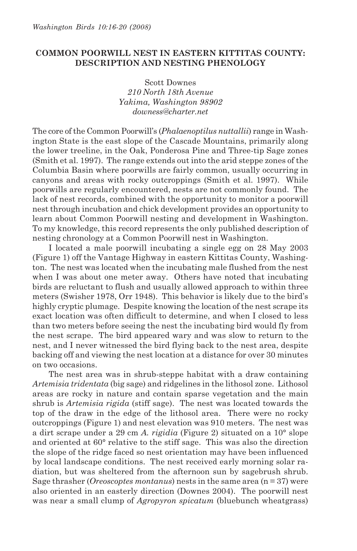# **COMMON POORWILL NEST IN EASTERN KITTITAS COUNTY: DESCRIPTION AND NESTING PHENOLOGY**

Scott Downes *210 North 18th Avenue Yakima, Washington 98902 downess@charter.net*

The core of the Common Poorwill's (*Phalaenoptilus nuttallii*) range in Washington State is the east slope of the Cascade Mountains, primarily along the lower treeline, in the Oak, Ponderosa Pine and Three-tip Sage zones (Smith et al. 1997). The range extends out into the arid steppe zones of the Columbia Basin where poorwills are fairly common, usually occurring in canyons and areas with rocky outcroppings (Smith et al. 1997). While poorwills are regularly encountered, nests are not commonly found. The lack of nest records, combined with the opportunity to monitor a poorwill nest through incubation and chick development provides an opportunity to learn about Common Poorwill nesting and development in Washington. To my knowledge, this record represents the only published description of nesting chronology at a Common Poorwill nest in Washington.

I located a male poorwill incubating a single egg on 28 May 2003 (Figure 1) off the Vantage Highway in eastern Kittitas County, Washington. The nest was located when the incubating male flushed from the nest when I was about one meter away. Others have noted that incubating birds are reluctant to flush and usually allowed approach to within three meters (Swisher 1978, Orr 1948). This behavior is likely due to the bird's highly cryptic plumage. Despite knowing the location of the nest scrape its exact location was often difficult to determine, and when I closed to less than two meters before seeing the nest the incubating bird would fly from the nest scrape. The bird appeared wary and was slow to return to the nest, and I never witnessed the bird flying back to the nest area, despite backing off and viewing the nest location at a distance for over 30 minutes on two occasions.

The nest area was in shrub-steppe habitat with a draw containing *Artemisia tridentata* (big sage) and ridgelines in the lithosol zone. Lithosol areas are rocky in nature and contain sparse vegetation and the main shrub is *Artemisia rigida* (stiff sage). The nest was located towards the top of the draw in the edge of the lithosol area. There were no rocky outcroppings (Figure 1) and nest elevation was 910 meters. The nest was a dirt scrape under a 29 cm *A. rigidia* (Figure 2) situated on a 10° slope and oriented at 60° relative to the stiff sage. This was also the direction the slope of the ridge faced so nest orientation may have been influenced by local landscape conditions. The nest received early morning solar radiation, but was sheltered from the afternoon sun by sagebrush shrub. Sage thrasher (*Oreoscoptes montanus*) nests in the same area (n = 37) were also oriented in an easterly direction (Downes 2004). The poorwill nest was near a small clump of *Agropyron spicatum* (bluebunch wheatgrass)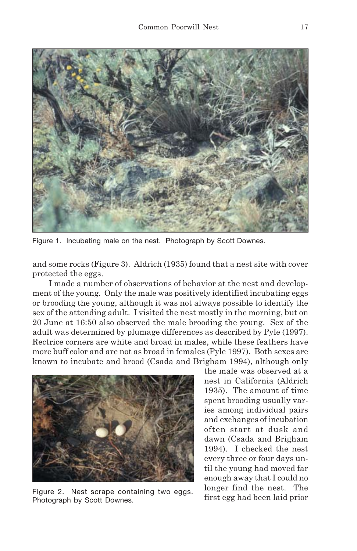

Figure 1. Incubating male on the nest. Photograph by Scott Downes.

and some rocks (Figure 3). Aldrich (1935) found that a nest site with cover protected the eggs.

I made a number of observations of behavior at the nest and development of the young. Only the male was positively identified incubating eggs or brooding the young, although it was not always possible to identify the sex of the attending adult. I visited the nest mostly in the morning, but on 20 June at 16:50 also observed the male brooding the young. Sex of the adult was determined by plumage differences as described by Pyle (1997). Rectrice corners are white and broad in males, while these feathers have more buff color and are not as broad in females (Pyle 1997). Both sexes are known to incubate and brood (Csada and Brigham 1994), although only



Figure 2. Nest scrape containing two eggs. Photograph by Scott Downes.

the male was observed at a nest in California (Aldrich 1935). The amount of time spent brooding usually varies among individual pairs and exchanges of incubation often start at dusk and dawn (Csada and Brigham 1994). I checked the nest every three or four days until the young had moved far enough away that I could no longer find the nest. The first egg had been laid prior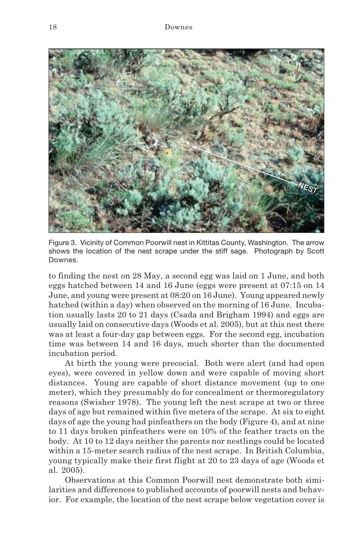

Figure 3. Vicinity of Common Poorwill nest in Kittitas County, Washington. The arrow shows the location of the nest scrape under the stiff sage. Photograph by Scott Downes.

to finding the nest on 28 May, a second egg was laid on 1 June, and both eggs hatched between 14 and 16 June (eggs were present at 07:15 on 14 June, and young were present at 08:20 on 16 June). Young appeared newly hatched (within a day) when observed on the morning of 16 June. Incubation usually lasts 20 to 21 days (Csada and Brigham 1994) and eggs are usually laid on consecutive days (Woods et al. 2005), but at this nest there was at least a four-day gap between eggs. For the second egg, incubation time was between 14 and 16 days, much shorter than the documented incubation period.

At birth the young were precocial. Both were alert (and had open eyes), were covered in yellow down and were capable of moving short distances. Young are capable of short distance movement (up to one meter), which they presumably do for concealment or thermoregulatory reasons (Swisher 1978). The young left the nest scrape at two or three days of age but remained within five meters of the scrape. At six to eight days of age the young had pinfeathers on the body (Figure 4), and at nine to 11 days broken pinfeathers were on 10% of the feather tracts on the body. At 10 to 12 days neither the parents nor nestlings could be located within a 15-meter search radius of the nest scrape. In British Columbia, young typically make their first flight at 20 to 23 days of age (Woods et al. 2005).

Observations at this Common Poorwill nest demonstrate both similarities and differences to published accounts of poorwill nests and behavior. For example, the location of the nest scrape below vegetation cover is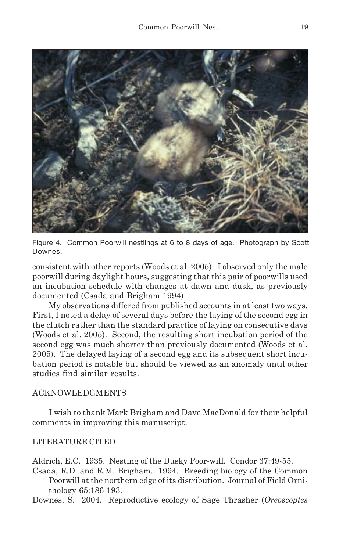

Figure 4. Common Poorwill nestlings at 6 to 8 days of age. Photograph by Scott Downes.

consistent with other reports (Woods et al. 2005). I observed only the male poorwill during daylight hours, suggesting that this pair of poorwills used an incubation schedule with changes at dawn and dusk, as previously documented (Csada and Brigham 1994).

My observations differed from published accounts in at least two ways. First, I noted a delay of several days before the laying of the second egg in the clutch rather than the standard practice of laying on consecutive days (Woods et al. 2005). Second, the resulting short incubation period of the second egg was much shorter than previously documented (Woods et al. 2005). The delayed laying of a second egg and its subsequent short incubation period is notable but should be viewed as an anomaly until other studies find similar results.

# ACKNOWLEDGMENTS

I wish to thank Mark Brigham and Dave MacDonald for their helpful comments in improving this manuscript.

# LITERATURE CITED

Aldrich, E.C. 1935. Nesting of the Dusky Poor-will. Condor 37:49-55.

Csada, R.D. and R.M. Brigham. 1994.Breeding biology of the Common Poorwill at the northern edge of its distribution. Journal of Field Ornithology 65:186-193.

Downes, S. 2004. Reproductive ecology of Sage Thrasher (*Oreoscoptes*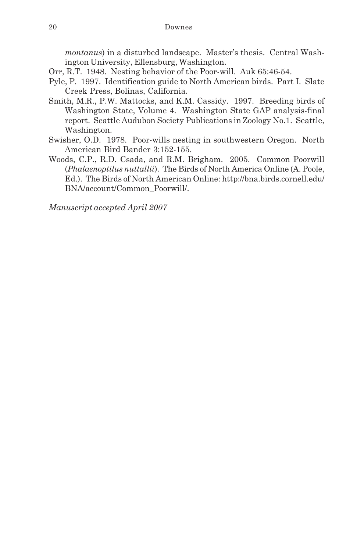*montanus*) in a disturbed landscape. Master's thesis. Central Washington University, Ellensburg, Washington.

- Orr, R.T. 1948. Nesting behavior of the Poor-will. Auk 65:46-54.
- Pyle, P. 1997. Identification guide to North American birds. Part I. Slate Creek Press, Bolinas, California.
- Smith, M.R., P.W. Mattocks, and K.M. Cassidy. 1997. Breeding birds of Washington State, Volume 4. Washington State GAP analysis-final report. Seattle Audubon Society Publications in Zoology No.1. Seattle, Washington.
- Swisher, O.D. 1978. Poor-wills nesting in southwestern Oregon. North American Bird Bander 3:152-155.
- Woods, C.P., R.D. Csada, and R.M. Brigham. 2005. Common Poorwill (*Phalaenoptilus nuttallii*). The Birds of North America Online (A. Poole, Ed.). The Birds of North American Online: http://bna.birds.cornell.edu/ BNA/account/Common\_Poorwill/.

*Manuscript accepted April 2007*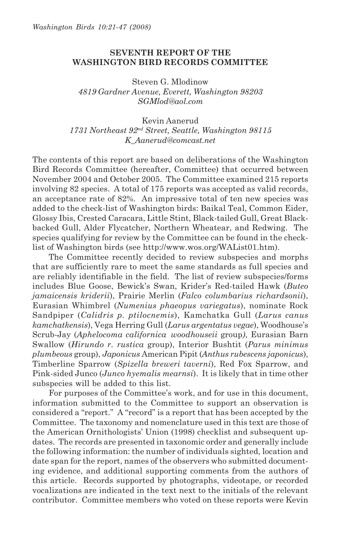# **SEVENTH REPORT OF THE WASHINGTON BIRD RECORDS COMMITTEE**

Steven G. Mlodinow *4819 Gardner Avenue, Everett, Washington 98203 SGMlod@aol.com*

Kevin Aanerud

*1731 Northeast 92nd Street, Seattle, Washington 98115 K\_Aanerud@comcast.net*

The contents of this report are based on deliberations of the Washington Bird Records Committee (hereafter, Committee) that occurred between November 2004 and October 2005. The Committee examined 215 reports involving 82 species. A total of 175 reports was accepted as valid records, an acceptance rate of 82%. An impressive total of ten new species was added to the check-list of Washington birds: Baikal Teal, Common Eider, Glossy Ibis, Crested Caracara, Little Stint, Black-tailed Gull, Great Blackbacked Gull, Alder Flycatcher, Northern Wheatear, and Redwing. The species qualifying for review by the Committee can be found in the checklist of Washington birds (see http://www.wos.org/WAList01.htm).

The Committee recently decided to review subspecies and morphs that are sufficiently rare to meet the same standards as full species and are reliably identifiable in the field. The list of review subspecies/forms includes Blue Goose, Bewick's Swan, Krider's Red-tailed Hawk (*Buteo jamaicensis kriderii*), Prairie Merlin (*Falco columbarius richardsonii*), Eurasian Whimbrel (*Numenius phaeopus variegatus*), nominate Rock Sandpiper (*Calidris p. ptilocnemis*), Kamchatka Gull (*Larus canus kamchatkensis*), Vega Herring Gull (*Larus argentatus vegae*), Woodhouse's Scrub-Jay (*Aphelocoma californica woodhouseii* group*)*, Eurasian Barn Swallow (*Hirundo r. rustica* group), Interior Bushtit (*Parus minimus plumbeous* group), *Japonicus* American Pipit (*Anthus rubescens japonicus*), Timberline Sparrow (*Spizella breweri taverni*), Red Fox Sparrow, and Pink-sided Junco (*Junco hyemalis mearnsi*). It is likely that in time other subspecies will be added to this list.

For purposes of the Committee's work, and for use in this document, information submitted to the Committee to support an observation is considered a "report." A "record" is a report that has been accepted by the Committee. The taxonomy and nomenclature used in this text are those of the American Ornithologists' Union (1998) checklist and subsequent updates. The records are presented in taxonomic order and generally include the following information: the number of individuals sighted, location and date span for the report, names of the observers who submitted documenting evidence, and additional supporting comments from the authors of this article. Records supported by photographs, videotape, or recorded vocalizations are indicated in the text next to the initials of the relevant contributor. Committee members who voted on these reports were Kevin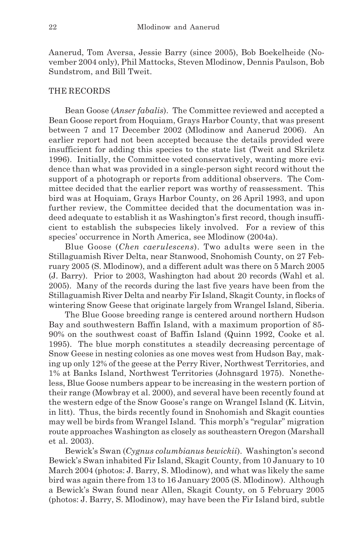Aanerud, Tom Aversa, Jessie Barry (since 2005), Bob Boekelheide (November 2004 only), Phil Mattocks, Steven Mlodinow, Dennis Paulson, Bob Sundstrom, and Bill Tweit.

### THE RECORDS

Bean Goose (*Anser fabalis*). The Committee reviewed and accepted a Bean Goose report from Hoquiam, Grays Harbor County, that was present between 7 and 17 December 2002 (Mlodinow and Aanerud 2006). An earlier report had not been accepted because the details provided were insufficient for adding this species to the state list (Tweit and Skriletz 1996). Initially, the Committee voted conservatively, wanting more evidence than what was provided in a single-person sight record without the support of a photograph or reports from additional observers. The Committee decided that the earlier report was worthy of reassessment. This bird was at Hoquiam, Grays Harbor County, on 26 April 1993, and upon further review, the Committee decided that the documentation was indeed adequate to establish it as Washington's first record, though insufficient to establish the subspecies likely involved. For a review of this species' occurrence in North America, see Mlodinow (2004a).

Blue Goose (*Chen caerulescens*). Two adults were seen in the Stillaguamish River Delta, near Stanwood, Snohomish County, on 27 February 2005 (S. Mlodinow), and a different adult was there on 5 March 2005 (J. Barry).Prior to 2003, Washington had about 20 records (Wahl et al. 2005). Many of the records during the last five years have been from the Stillaguamish River Delta and nearby Fir Island, Skagit County, in flocks of wintering Snow Geese that originate largely from Wrangel Island, Siberia.

The Blue Goose breeding range is centered around northern Hudson Bay and southwestern Baffin Island, with a maximum proportion of 85- 90% on the southwest coast of Baffin Island (Quinn 1992, Cooke et al. 1995). The blue morph constitutes a steadily decreasing percentage of Snow Geese in nesting colonies as one moves west from Hudson Bay, making up only 12% of the geese at the Perry River, Northwest Territories, and 1% at Banks Island, Northwest Territories (Johnsgard 1975). Nonetheless, Blue Goose numbers appear to be increasing in the western portion of their range (Mowbray et al. 2000), and several have been recently found at the western edge of the Snow Goose's range on Wrangel Island (K. Litvin, in litt). Thus, the birds recently found in Snohomish and Skagit counties may well be birds from Wrangel Island. This morph's "regular" migration route approaches Washington as closely as southeastern Oregon (Marshall et al. 2003).

Bewick's Swan (*Cygnus columbianus bewickii*). Washington's second Bewick's Swan inhabited Fir Island, Skagit County, from 10 January to 10 March 2004 (photos: J. Barry, S. Mlodinow), and what was likely the same bird was again there from 13 to 16 January 2005 (S. Mlodinow). Although a Bewick's Swan found near Allen, Skagit County, on 5 February 2005 (photos: J. Barry, S. Mlodinow), may have been the Fir Island bird, subtle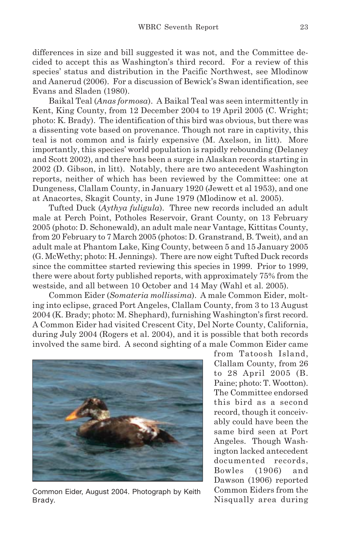differences in size and bill suggested it was not, and the Committee decided to accept this as Washington's third record. For a review of this species' status and distribution in the Pacific Northwest, see Mlodinow and Aanerud (2006). For a discussion of Bewick's Swan identification, see Evans and Sladen (1980).

Baikal Teal (*Anas formosa*). A Baikal Teal was seen intermittently in Kent, King County, from 12 December 2004 to 19 April 2005 (C. Wright; photo: K. Brady). The identification of this bird was obvious, but there was a dissenting vote based on provenance. Though not rare in captivity, this teal is not common and is fairly expensive (M. Axelson, in litt). More importantly, this species' world population is rapidly rebounding (Delaney and Scott 2002), and there has been a surge in Alaskan records starting in 2002 (D. Gibson, in litt). Notably, there are two antecedent Washington reports, neither of which has been reviewed by the Committee: one at Dungeness, Clallam County, in January 1920 (Jewett et al 1953), and one at Anacortes, Skagit County, in June 1979 (Mlodinow et al. 2005).

Tufted Duck (*Aythya fuligula*). Three new records included an adult male at Perch Point, Potholes Reservoir, Grant County, on 13 February 2005 (photo: D. Schonewald), an adult male near Vantage, Kittitas County, from 20 February to 7 March 2005 (photos: D. Granstrand, B. Tweit), and an adult male at Phantom Lake, King County, between 5 and 15 January 2005 (G. McWethy; photo: H. Jennings). There are now eight Tufted Duck records since the committee started reviewing this species in 1999. Prior to 1999, there were about forty published reports, with approximately 75% from the westside, and all between 10 October and 14 May (Wahl et al. 2005).

Common Eider (*Somateria mollissima*). A male Common Eider, molting into eclipse, graced Port Angeles, Clallam County, from 3 to 13 August 2004 (K. Brady; photo: M. Shephard), furnishing Washington's first record. A Common Eider had visited Crescent City, Del Norte County, California, during July 2004 (Rogers et al. 2004), and it is possible that both records involved the same bird. A second sighting of a male Common Eider came



Common Eider, August 2004. Photograph by Keith Brady.

from Tatoosh Island, Clallam County, from 26 to 28 April 2005 (B. Paine; photo: T. Wootton). The Committee endorsed this bird as a second record, though it conceivably could have been the same bird seen at Port Angeles. Though Washington lacked antecedent documented records, Bowles (1906) and Dawson (1906) reported Common Eiders from the Nisqually area during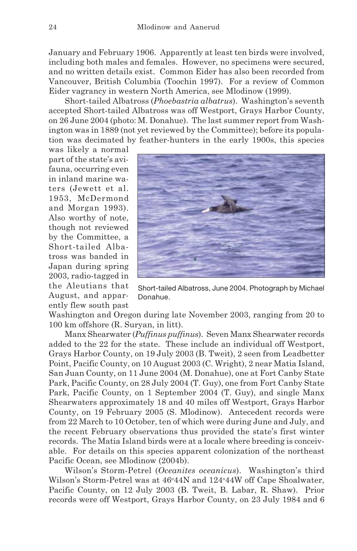January and February 1906. Apparently at least ten birds were involved, including both males and females. However, no specimens were secured, and no written details exist. Common Eider has also been recorded from Vancouver, British Columbia (Toochin 1997). For a review of Common Eider vagrancy in western North America, see Mlodinow (1999).

Short-tailed Albatross (*Phoebastria albatrus*). Washington's seventh accepted Short-tailed Albatross was off Westport, Grays Harbor County, on 26 June 2004 (photo: M. Donahue). The last summer report from Washington was in 1889 (not yet reviewed by the Committee); before its population was decimated by feather-hunters in the early 1900s, this species

was likely a normal part of the state's avifauna, occurring even in inland marine waters (Jewett et al. 1953, McDermond and Morgan 1993). Also worthy of note, though not reviewed by the Committee, a Short-tailed Albatross was banded in Japan during spring 2003, radio-tagged in the Aleutians that August, and apparently flew south past



Short-tailed Albatross, June 2004. Photograph by Michael Donahue.

Washington and Oregon during late November 2003, ranging from 20 to 100 km offshore (R. Suryan, in litt).

Manx Shearwater (*Puffinus puffinus*). Seven Manx Shearwater records added to the 22 for the state. These include an individual off Westport, Grays Harbor County, on 19 July 2003 (B. Tweit), 2 seen from Leadbetter Point, Pacific County, on 10 August 2003 (C. Wright), 2 near Matia Island, San Juan County, on 11 June 2004 (M. Donahue), one at Fort Canby State Park, Pacific County, on 28 July 2004 (T. Guy), one from Fort Canby State Park, Pacific County, on 1 September 2004 (T. Guy), and single Manx Shearwaters approximately 18 and 40 miles off Westport, Grays Harbor County, on 19 February 2005 (S. Mlodinow). Antecedent records were from 22 March to 10 October, ten of which were during June and July, and the recent February observations thus provided the state's first winter records. The Matia Island birds were at a locale where breeding is conceivable. For details on this species apparent colonization of the northeast Pacific Ocean, see Mlodinow (2004b).

Wilson's Storm-Petrel (*Oceanites oceanicus*). Washington's third Wilson's Storm-Petrel was at 46°44N and 124°44W off Cape Shoalwater, Pacific County, on 12 July 2003 (B. Tweit, B. Labar, R. Shaw). Prior records were off Westport, Grays Harbor County, on 23 July 1984 and 6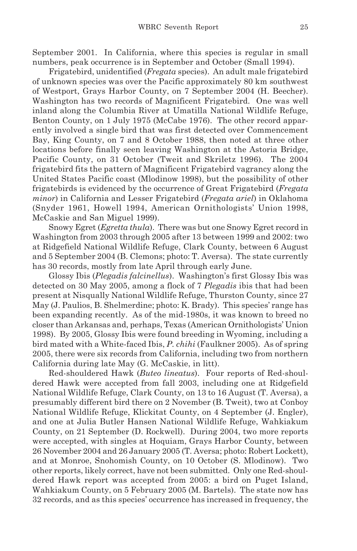September 2001. In California, where this species is regular in small numbers, peak occurrence is in September and October (Small 1994).

Frigatebird, unidentified (*Fregata* species). An adult male frigatebird of unknown species was over the Pacific approximately 80 km southwest of Westport, Grays Harbor County, on 7 September 2004 (H. Beecher). Washington has two records of Magnificent Frigatebird. One was well inland along the Columbia River at Umatilla National Wildlife Refuge, Benton County, on 1 July 1975 (McCabe 1976). The other record apparently involved a single bird that was first detected over Commencement Bay, King County, on 7 and 8 October 1988, then noted at three other locations before finally seen leaving Washington at the Astoria Bridge, Pacific County, on 31 October (Tweit and Skriletz 1996). The 2004 frigatebird fits the pattern of Magnificent Frigatebird vagrancy along the United States Pacific coast (Mlodinow 1998), but the possibility of other frigatebirds is evidenced by the occurrence of Great Frigatebird (*Fregata minor*) in California and Lesser Frigatebird (*Fregata ariel*) in Oklahoma (Snyder 1961, Howell 1994, American Ornithologists' Union 1998, McCaskie and San Miguel 1999).

Snowy Egret (*Egretta thula*). There was but one Snowy Egret record in Washington from 2003 through 2005 after 13 between 1999 and 2002: two at Ridgefield National Wildlife Refuge, Clark County, between 6 August and 5 September 2004 (B. Clemons; photo: T. Aversa). The state currently has 30 records, mostly from late April through early June.

Glossy Ibis (*Plegadis falcinellus*). Washington's first Glossy Ibis was detected on 30 May 2005, among a flock of 7 *Plegadis* ibis that had been present at Nisqually National Wildlife Refuge, Thurston County, since 27 May (J. Paulios, B. Shelmerdine; photo: K. Brady). This species' range has been expanding recently. As of the mid-1980s, it was known to breed no closer than Arkansas and, perhaps, Texas (American Ornithologists' Union 1998). By 2005, Glossy Ibis were found breeding in Wyoming, including a bird mated with a White-faced Ibis, *P. chihi* (Faulkner 2005). As of spring 2005, there were six records from California, including two from northern California during late May (G. McCaskie, in litt).

Red-shouldered Hawk (*Buteo lineatus*). Four reports of Red-shouldered Hawk were accepted from fall 2003, including one at Ridgefield National Wildlife Refuge, Clark County, on 13 to 16 August (T. Aversa), a presumably different bird there on 2 November (B. Tweit), two at Conboy National Wildlife Refuge, Klickitat County, on 4 September (J. Engler), and one at Julia Butler Hansen National Wildlife Refuge, Wahkiakum County, on 21 September (D. Rockwell). During 2004, two more reports were accepted, with singles at Hoquiam, Grays Harbor County, between 26 November 2004 and 26 January 2005 (T. Aversa; photo: Robert Lockett), and at Monroe, Snohomish County, on 10 October (S. Mlodinow). Two other reports, likely correct, have not been submitted. Only one Red-shouldered Hawk report was accepted from 2005: a bird on Puget Island, Wahkiakum County, on 5 February 2005 (M. Bartels). The state now has 32 records, and as this species' occurrence has increased in frequency, the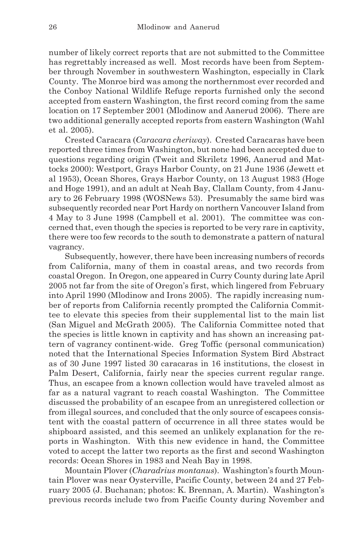number of likely correct reports that are not submitted to the Committee has regrettably increased as well. Most records have been from September through November in southwestern Washington, especially in Clark County. The Monroe bird was among the northernmost ever recorded and the Conboy National Wildlife Refuge reports furnished only the second accepted from eastern Washington, the first record coming from the same location on 17 September 2001 (Mlodinow and Aanerud 2006). There are two additional generally accepted reports from eastern Washington (Wahl et al. 2005).

Crested Caracara (*Caracara cheriway*). Crested Caracaras have been reported three times from Washington, but none had been accepted due to questions regarding origin (Tweit and Skriletz 1996, Aanerud and Mattocks 2000): Westport, Grays Harbor County, on 21 June 1936 (Jewett et al 1953), Ocean Shores, Grays Harbor County, on 13 August 1983 (Hoge and Hoge 1991), and an adult at Neah Bay, Clallam County, from 4 January to 26 February 1998 (WOSNews 53). Presumably the same bird was subsequently recorded near Port Hardy on northern Vancouver Island from 4 May to 3 June 1998 (Campbell et al. 2001). The committee was concerned that, even though the species is reported to be very rare in captivity, there were too few records to the south to demonstrate a pattern of natural vagrancy.

Subsequently, however, there have been increasing numbers of records from California, many of them in coastal areas, and two records from coastal Oregon. In Oregon, one appeared in Curry County during late April 2005 not far from the site of Oregon's first, which lingered from February into April 1990 (Mlodinow and Irons 2005). The rapidly increasing number of reports from California recently prompted the California Committee to elevate this species from their supplemental list to the main list (San Miguel and McGrath 2005). The California Committee noted that the species is little known in captivity and has shown an increasing pattern of vagrancy continent-wide. Greg Toffic (personal communication) noted that the International Species Information System Bird Abstract as of 30 June 1997 listed 30 caracaras in 16 institutions, the closest in Palm Desert, California, fairly near the species current regular range. Thus, an escapee from a known collection would have traveled almost as far as a natural vagrant to reach coastal Washington. The Committee discussed the probability of an escapee from an unregistered collection or from illegal sources, and concluded that the only source of escapees consistent with the coastal pattern of occurrence in all three states would be shipboard assisted, and this seemed an unlikely explanation for the reports in Washington. With this new evidence in hand, the Committee voted to accept the latter two reports as the first and second Washington records: Ocean Shores in 1983 and Neah Bay in 1998.

Mountain Plover (*Charadrius montanus*). Washington's fourth Mountain Plover was near Oysterville, Pacific County, between 24 and 27 February 2005 (J. Buchanan; photos: K. Brennan, A. Martin). Washington's previous records include two from Pacific County during November and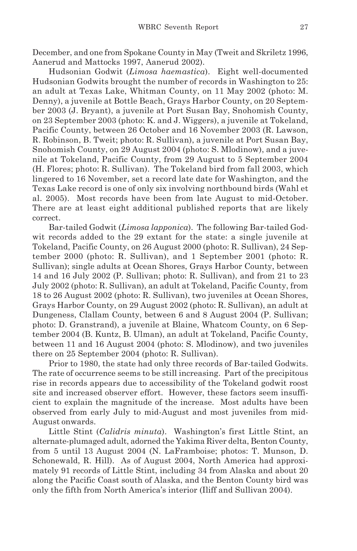December, and one from Spokane County in May (Tweit and Skriletz 1996, Aanerud and Mattocks 1997, Aanerud 2002).

Hudsonian Godwit (*Limosa haemastica*). Eight well-documented Hudsonian Godwits brought the number of records in Washington to 25: an adult at Texas Lake, Whitman County, on 11 May 2002 (photo: M. Denny), a juvenile at Bottle Beach, Grays Harbor County, on 20 September 2003 (J. Bryant), a juvenile at Port Susan Bay, Snohomish County, on 23 September 2003 (photo: K. and J. Wiggers), a juvenile at Tokeland, Pacific County, between 26 October and 16 November 2003 (R. Lawson, R. Robinson, B. Tweit; photo: R. Sullivan), a juvenile at Port Susan Bay, Snohomish County, on 29 August 2004 (photo: S. Mlodinow), and a juvenile at Tokeland, Pacific County, from 29 August to 5 September 2004 (H. Flores; photo: R. Sullivan). The Tokeland bird from fall 2003, which lingered to 16 November, set a record late date for Washington, and the Texas Lake record is one of only six involving northbound birds (Wahl et al. 2005). Most records have been from late August to mid-October. There are at least eight additional published reports that are likely correct.

Bar-tailed Godwit (*Limosa lapponica*). The following Bar-tailed Godwit records added to the 29 extant for the state: a single juvenile at Tokeland, Pacific County, on 26 August 2000 (photo: R. Sullivan), 24 September 2000 (photo: R. Sullivan), and 1 September 2001 (photo: R. Sullivan); single adults at Ocean Shores, Grays Harbor County, between 14 and 16 July 2002 (P. Sullivan; photo: R. Sullivan), and from 21 to 23 July 2002 (photo: R. Sullivan), an adult at Tokeland, Pacific County, from 18 to 26 August 2002 (photo: R. Sullivan), two juveniles at Ocean Shores, Grays Harbor County, on 29 August 2002 (photo: R. Sullivan), an adult at Dungeness, Clallam County, between 6 and 8 August 2004 (P. Sullivan; photo: D. Granstrand), a juvenile at Blaine, Whatcom County, on 6 September 2004 (B. Kuntz, B. Ulman), an adult at Tokeland, Pacific County, between 11 and 16 August 2004 (photo: S. Mlodinow), and two juveniles there on 25 September 2004 (photo: R. Sullivan).

Prior to 1980, the state had only three records of Bar-tailed Godwits. The rate of occurrence seems to be still increasing. Part of the precipitous rise in records appears due to accessibility of the Tokeland godwit roost site and increased observer effort. However, these factors seem insufficient to explain the magnitude of the increase. Most adults have been observed from early July to mid-August and most juveniles from mid-August onwards.

Little Stint (*Calidris minuta*). Washington's first Little Stint, an alternate-plumaged adult, adorned the Yakima River delta, Benton County, from 5 until 13 August 2004 (N. LaFramboise; photos: T. Munson, D. Schonewald, R. Hill). As of August 2004, North America had approximately 91 records of Little Stint, including 34 from Alaska and about 20 along the Pacific Coast south of Alaska, and the Benton County bird was only the fifth from North America's interior (Iliff and Sullivan 2004).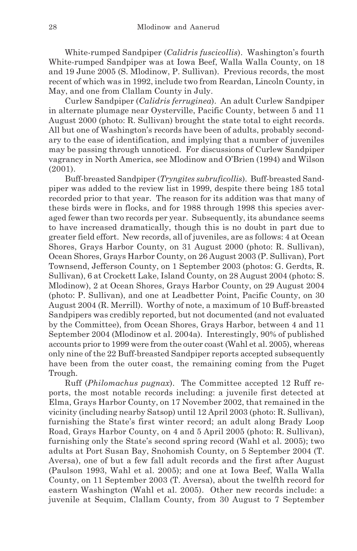White-rumped Sandpiper (*Calidris fuscicollis*). Washington's fourth White-rumped Sandpiper was at Iowa Beef, Walla Walla County, on 18 and 19 June 2005 (S. Mlodinow, P. Sullivan). Previous records, the most recent of which was in 1992, include two from Reardan, Lincoln County, in May, and one from Clallam County in July.

Curlew Sandpiper (*Calidris ferruginea*). An adult Curlew Sandpiper in alternate plumage near Oysterville, Pacific County, between 5 and 11 August 2000 (photo: R. Sullivan) brought the state total to eight records. All but one of Washington's records have been of adults, probably secondary to the ease of identification, and implying that a number of juveniles may be passing through unnoticed. For discussions of Curlew Sandpiper vagrancy in North America, see Mlodinow and O'Brien (1994) and Wilson (2001).

Buff-breasted Sandpiper (*Tryngites subruficollis*). Buff-breasted Sandpiper was added to the review list in 1999, despite there being 185 total recorded prior to that year. The reason for its addition was that many of these birds were in flocks, and for 1988 through 1998 this species averaged fewer than two records per year. Subsequently, its abundance seems to have increased dramatically, though this is no doubt in part due to greater field effort. New records, all of juveniles, are as follows: 4 at Ocean Shores, Grays Harbor County, on 31 August 2000 (photo: R. Sullivan), Ocean Shores, Grays Harbor County, on 26 August 2003 (P. Sullivan), Port Townsend, Jefferson County, on 1 September 2003 (photos: G. Gerdts, R. Sullivan), 6 at Crockett Lake, Island County, on 28 August 2004 (photo: S. Mlodinow), 2 at Ocean Shores, Grays Harbor County, on 29 August 2004 (photo: P. Sullivan), and one at Leadbetter Point, Pacific County, on 30 August 2004 (R. Merrill). Worthy of note, a maximum of 10 Buff-breasted Sandpipers was credibly reported, but not documented (and not evaluated by the Committee), from Ocean Shores, Grays Harbor, between 4 and 11 September 2004 (Mlodinow et al. 2004a). Interestingly, 90% of published accounts prior to 1999 were from the outer coast (Wahl et al. 2005), whereas only nine of the 22 Buff-breasted Sandpiper reports accepted subsequently have been from the outer coast, the remaining coming from the Puget Trough.

Ruff (*Philomachus pugnax*). The Committee accepted 12 Ruff reports, the most notable records including: a juvenile first detected at Elma, Grays Harbor County, on 17 November 2002, that remained in the vicinity (including nearby Satsop) until 12 April 2003 (photo: R. Sullivan), furnishing the State's first winter record; an adult along Brady Loop Road, Grays Harbor County, on 4 and 5 April 2005 (photo: R. Sullivan), furnishing only the State's second spring record (Wahl et al. 2005); two adults at Port Susan Bay, Snohomish County, on 5 September 2004 (T. Aversa), one of but a few fall adult records and the first after August (Paulson 1993, Wahl et al. 2005); and one at Iowa Beef, Walla Walla County, on 11 September 2003 (T. Aversa), about the twelfth record for eastern Washington (Wahl et al. 2005). Other new records include: a juvenile at Sequim, Clallam County, from 30 August to 7 September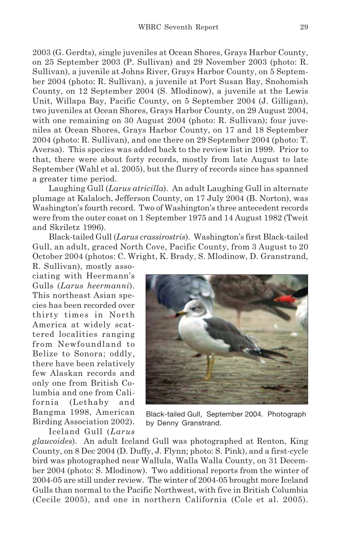2003 (G. Gerdts), single juveniles at Ocean Shores, Grays Harbor County, on 25 September 2003 (P. Sullivan) and 29 November 2003 (photo: R. Sullivan), a juvenile at Johns River, Grays Harbor County, on 5 September 2004 (photo: R. Sullivan), a juvenile at Port Susan Bay, Snohomish County, on 12 September 2004 (S. Mlodinow), a juvenile at the Lewis Unit, Willapa Bay, Pacific County, on 5 September 2004 (J. Gilligan), two juveniles at Ocean Shores, Grays Harbor County, on 29 August 2004, with one remaining on 30 August 2004 (photo: R. Sullivan); four juveniles at Ocean Shores, Grays Harbor County, on 17 and 18 September 2004 (photo: R. Sullivan), and one there on 29 September 2004 (photo: T. Aversa). This species was added back to the review list in 1999. Prior to that, there were about forty records, mostly from late August to late September (Wahl et al. 2005), but the flurry of records since has spanned a greater time period.

Laughing Gull (*Larus atricilla*). An adult Laughing Gull in alternate plumage at Kalaloch, Jefferson County, on 17 July 2004 (B. Norton), was Washington's fourth record. Two of Washington's three antecedent records were from the outer coast on 1 September 1975 and 14 August 1982 (Tweit and Skriletz 1996).

Black-tailed Gull (*Larus crassirostris*). Washington's first Black-tailed Gull, an adult, graced North Cove, Pacific County, from 3 August to 20 October 2004 (photos: C. Wright, K. Brady, S. Mlodinow, D. Granstrand,

R. Sullivan), mostly associating with Heermann's Gulls (*Larus heermanni*). This northeast Asian species has been recorded over thirty times in North America at widely scattered localities ranging from Newfoundland to Belize to Sonora; oddly, there have been relatively few Alaskan records and only one from British Columbia and one from California (Lethaby and Bangma 1998, American Birding Association 2002). Iceland Gull (*Larus*



Black-tailed Gull, September 2004. Photograph by Denny Granstrand.

*glaucoides*). An adult Iceland Gull was photographed at Renton, King County, on 8 Dec 2004 (D. Duffy, J. Flynn; photo: S. Pink), and a first-cycle bird was photographed near Wallula, Walla Walla County, on 31 December 2004 (photo: S. Mlodinow). Two additional reports from the winter of 2004-05 are still under review. The winter of 2004-05 brought more Iceland Gulls than normal to the Pacific Northwest, with five in British Columbia (Cecile 2005), and one in northern California (Cole et al. 2005).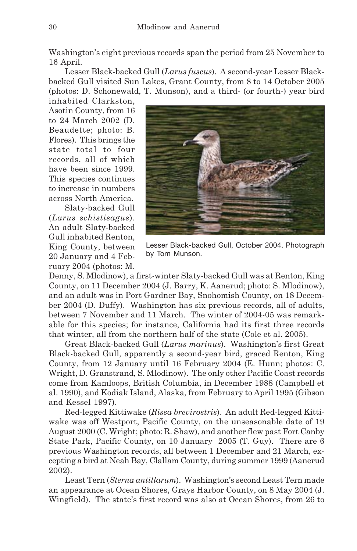Washington's eight previous records span the period from 25 November to 16 April.

Lesser Black-backed Gull (*Larus fuscus*). A second-year Lesser Blackbacked Gull visited Sun Lakes, Grant County, from 8 to 14 October 2005 (photos: D. Schonewald, T. Munson), and a third- (or fourth-) year bird

inhabited Clarkston, Asotin County, from 16 to 24 March 2002 (D. Beaudette; photo: B. Flores). This brings the state total to four records, all of which have been since 1999. This species continues to increase in numbers across North America.

Slaty-backed Gull (*Larus schistisagus*). An adult Slaty-backed Gull inhabited Renton, King County, between 20 January and 4 February 2004 (photos: M.



Lesser Black-backed Gull, October 2004. Photograph by Tom Munson.

Denny, S. Mlodinow), a first-winter Slaty-backed Gull was at Renton, King County, on 11 December 2004 (J. Barry, K. Aanerud; photo: S. Mlodinow), and an adult was in Port Gardner Bay, Snohomish County, on 18 December 2004 (D. Duffy). Washington has six previous records, all of adults, between 7 November and 11 March. The winter of 2004-05 was remarkable for this species; for instance, California had its first three records that winter, all from the northern half of the state (Cole et al. 2005).

Great Black-backed Gull (*Larus marinus*). Washington's first Great Black-backed Gull, apparently a second-year bird, graced Renton, King County, from 12 January until 16 February 2004 (E. Hunn; photos: C. Wright, D. Granstrand, S. Mlodinow). The only other Pacific Coast records come from Kamloops, British Columbia, in December 1988 (Campbell et al. 1990), and Kodiak Island, Alaska, from February to April 1995 (Gibson and Kessel 1997).

Red-legged Kittiwake (*Rissa brevirostris*). An adult Red-legged Kittiwake was off Westport, Pacific County, on the unseasonable date of 19 August 2000 (C. Wright; photo: R. Shaw), and another flew past Fort Canby State Park, Pacific County, on 10 January 2005 (T. Guy). There are 6 previous Washington records, all between 1 December and 21 March, excepting a bird at Neah Bay, Clallam County, during summer 1999 (Aanerud 2002).

Least Tern (*Sterna antillarum*). Washington's second Least Tern made an appearance at Ocean Shores, Grays Harbor County, on 8 May 2004 (J. Wingfield). The state's first record was also at Ocean Shores, from 26 to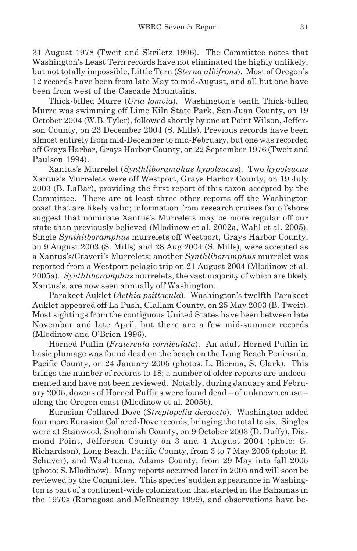31 August 1978 (Tweit and Skriletz 1996). The Committee notes that Washington's Least Tern records have not eliminated the highly unlikely, but not totally impossible, Little Tern (*Sterna albifrons*). Most of Oregon's 12 records have been from late May to mid-August, and all but one have been from west of the Cascade Mountains.

Thick-billed Murre (*Uria lomvia*). Washington's tenth Thick-billed Murre was swimming off Lime Kiln State Park, San Juan County, on 19 October 2004 (W.B. Tyler), followed shortly by one at Point Wilson, Jefferson County, on 23 December 2004 (S. Mills). Previous records have been almost entirely from mid-December to mid-February, but one was recorded off Grays Harbor, Grays Harbor County, on 22 September 1976 (Tweit and Paulson 1994).

Xantus's Murrelet (*Synthliboramphus hypoleucus*). Two *hypoleucus* Xantus's Murrelets were off Westport, Grays Harbor County, on 19 July 2003 (B. LaBar), providing the first report of this taxon accepted by the Committee. There are at least three other reports off the Washington coast that are likely valid; information from research cruises far offshore suggest that nominate Xantus's Murrelets may be more regular off our state than previously believed (Mlodinow et al. 2002a, Wahl et al. 2005). Single *Synthliboramphus* murrelets off Westport, Grays Harbor County, on 9 August 2003 (S. Mills) and 28 Aug 2004 (S. Mills), were accepted as a Xantus's/Craveri's Murrelets; another *Synthliboramphus* murrelet was reported from a Westport pelagic trip on 21 August 2004 (Mlodinow et al. 2005a). *Synthliboramphus* murrelets, the vast majority of which are likely Xantus's, are now seen annually off Washington.

Parakeet Auklet (*Aethia psittacula*). Washington's twelfth Parakeet Auklet appeared off La Push, Clallam County, on 25 May 2003 (B. Tweit). Most sightings from the contiguous United States have been between late November and late April, but there are a few mid-summer records (Mlodinow and O'Brien 1996).

Horned Puffin (*Fratercula corniculata*). An adult Horned Puffin in basic plumage was found dead on the beach on the Long Beach Peninsula, Pacific County, on 24 January 2005 (photos: L. Bierma, S. Clark). This brings the number of records to 18; a number of older reports are undocumented and have not been reviewed. Notably, during January and February 2005, dozens of Horned Puffins were found dead – of unknown cause – along the Oregon coast (Mlodinow et al. 2005b).

Eurasian Collared-Dove (*Streptopelia decaocto*). Washington added four more Eurasian Collared-Dove records, bringing the total to six. Singles were at Stanwood, Snohomish County, on 9 October 2003 (D. Duffy), Diamond Point, Jefferson County on 3 and 4 August 2004 (photo: G. Richardson), Long Beach, Pacific County, from 3 to 7 May 2005 (photo: R. Schuver), and Washtucna, Adams County, from 29 May into fall 2005 (photo: S. Mlodinow). Many reports occurred later in 2005 and will soon be reviewed by the Committee. This species' sudden appearance in Washington is part of a continent-wide colonization that started in the Bahamas in the 1970s (Romagosa and McEneaney 1999), and observations have be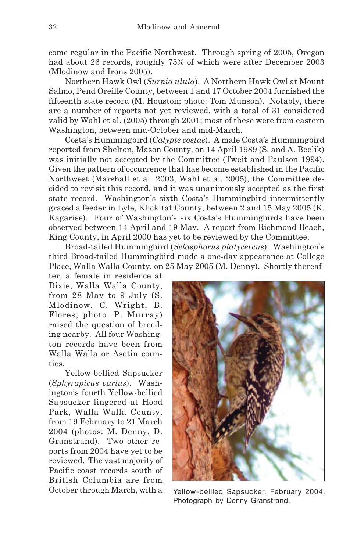come regular in the Pacific Northwest. Through spring of 2005, Oregon had about 26 records, roughly 75% of which were after December 2003 (Mlodinow and Irons 2005).

Northern Hawk Owl (*Surnia ulula*). A Northern Hawk Owl at Mount Salmo, Pend Oreille County, between 1 and 17 October 2004 furnished the fifteenth state record (M. Houston; photo: Tom Munson). Notably, there are a number of reports not yet reviewed, with a total of 31 considered valid by Wahl et al. (2005) through 2001; most of these were from eastern Washington, between mid-October and mid-March.

Costa's Hummingbird (*Calypte costae*). A male Costa's Hummingbird reported from Shelton, Mason County, on 14 April 1989 (S. and A. Beelik) was initially not accepted by the Committee (Tweit and Paulson 1994). Given the pattern of occurrence that has become established in the Pacific Northwest (Marshall et al. 2003, Wahl et al. 2005), the Committee decided to revisit this record, and it was unanimously accepted as the first state record. Washington's sixth Costa's Hummingbird intermittently graced a feeder in Lyle, Klickitat County, between 2 and 15 May 2005 (K. Kagarise). Four of Washington's six Costa's Hummingbirds have been observed between 14 April and 19 May. A report from Richmond Beach, King County, in April 2000 has yet to be reviewed by the Committee.

Broad-tailed Hummingbird (*Selasphorus platycercus*). Washington's third Broad-tailed Hummingbird made a one-day appearance at College Place, Walla Walla County, on 25 May 2005 (M. Denny). Shortly thereaf-

ter, a female in residence at Dixie, Walla Walla County, from 28 May to 9 July (S. Mlodinow, C. Wright, B. Flores; photo: P. Murray) raised the question of breeding nearby. All four Washington records have been from Walla Walla or Asotin counties.

Yellow-bellied Sapsucker (*Sphyrapicus varius*). Washington's fourth Yellow-bellied Sapsucker lingered at Hood Park, Walla Walla County, from 19 February to 21 March 2004 (photos: M. Denny, D. Granstrand). Two other reports from 2004 have yet to be reviewed. The vast majority of Pacific coast records south of British Columbia are from



October through March, with a Yellow-bellied Sapsucker, February 2004. Photograph by Denny Granstrand.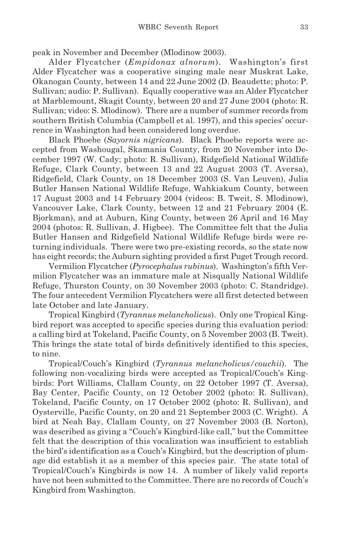peak in November and December (Mlodinow 2003).

Alder Flycatcher (*Empidonax alnorum*). Washington's first Alder Flycatcher was a cooperative singing male near Muskrat Lake, Okanogan County, between 14 and 22 June 2002 (D. Beaudette; photo: P. Sullivan; audio: P. Sullivan). Equally cooperative was an Alder Flycatcher at Marblemount, Skagit County, between 20 and 27 June 2004 (photo: R. Sullivan; video: S. Mlodinow). There are a number of summer records from southern British Columbia (Campbell et al. 1997), and this species' occurrence in Washington had been considered long overdue.

Black Phoebe (*Sayornis nigricans*). Black Phoebe reports were accepted from Washougal, Skamania County, from 20 November into December 1997 (W. Cady; photo: R. Sullivan), Ridgefield National Wildlife Refuge, Clark County, between 13 and 22 August 2003 (T. Aversa), Ridgefield, Clark County, on 18 December 2003 (S. Van Leuven), Julia Butler Hansen National Wildlife Refuge, Wahkiakum County, between 17 August 2003 and 14 February 2004 (videos: B. Tweit, S. Mlodinow), Vancouver Lake, Clark County, between 12 and 21 February 2004 (E. Bjorkman), and at Auburn, King County, between 26 April and 16 May 2004 (photos: R. Sullivan, J. Higbee). The Committee felt that the Julia Butler Hansen and Ridgefield National Wildlife Refuge birds were returning individuals. There were two pre-existing records, so the state now has eight records; the Auburn sighting provided a first Puget Trough record.

Vermilion Flycatcher (*Pyrocephalus rubinus*). Washington's fifth Vermilion Flycatcher was an immature male at Nisqually National Wildlife Refuge, Thurston County, on 30 November 2003 (photo: C. Standridge). The four antecedent Vermilion Flycatchers were all first detected between late October and late January.

Tropical Kingbird (*Tyrannus melancholicus*). Only one Tropical Kingbird report was accepted to specific species during this evaluation period: a calling bird at Tokeland, Pacific County, on 5 November 2003 (B. Tweit). This brings the state total of birds definitively identified to this species, to nine.

Tropical/Couch's Kingbird (*Tyrannus melancholicus/couchii*). The following non-vocalizing birds were accepted as Tropical/Couch's Kingbirds: Port Williams, Clallam County, on 22 October 1997 (T. Aversa), Bay Center, Pacific County, on 12 October 2002 (photo: R. Sullivan), Tokeland, Pacific County, on 17 October 2002 (photo: R. Sullivan), and Oysterville, Pacific County, on 20 and 21 September 2003 (C. Wright). A bird at Neah Bay, Clallam County, on 27 November 2003 (B. Norton), was described as giving a "Couch's Kingbird-like call," but the Committee felt that the description of this vocalization was insufficient to establish the bird's identification as a Couch's Kingbird, but the description of plumage did establish it as a member of this species pair. The state total of Tropical/Couch's Kingbirds is now 14. A number of likely valid reports have not been submitted to the Committee. There are no records of Couch's Kingbird from Washington.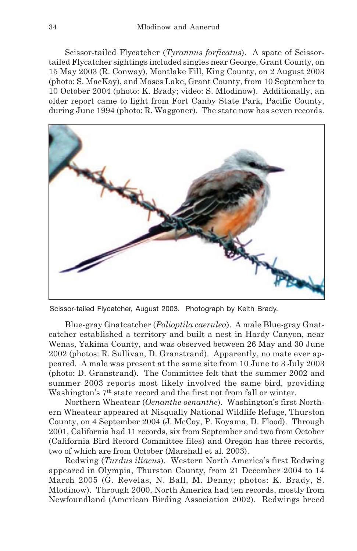Scissor-tailed Flycatcher (*Tyrannus forficatus*). A spate of Scissortailed Flycatcher sightings included singles near George, Grant County, on 15 May 2003 (R. Conway), Montlake Fill, King County, on 2 August 2003 (photo: S. MacKay), and Moses Lake, Grant County, from 10 September to 10 October 2004 (photo: K. Brady; video: S. Mlodinow). Additionally, an older report came to light from Fort Canby State Park, Pacific County, during June 1994 (photo: R. Waggoner). The state now has seven records.



Scissor-tailed Flycatcher, August 2003. Photograph by Keith Brady.

Blue-gray Gnatcatcher (*Polioptila caerulea*). A male Blue-gray Gnatcatcher established a territory and built a nest in Hardy Canyon, near Wenas, Yakima County, and was observed between 26 May and 30 June 2002 (photos: R. Sullivan, D. Granstrand). Apparently, no mate ever appeared. A male was present at the same site from 10 June to 3 July 2003 (photo: D. Granstrand). The Committee felt that the summer 2002 and summer 2003 reports most likely involved the same bird, providing Washington's 7<sup>th</sup> state record and the first not from fall or winter.

Northern Wheatear (*Oenanthe oenanthe*). Washington's first Northern Wheatear appeared at Nisqually National Wildlife Refuge, Thurston County, on 4 September 2004 (J. McCoy, P. Koyama, D. Flood). Through 2001, California had 11 records, six from September and two from October (California Bird Record Committee files) and Oregon has three records, two of which are from October (Marshall et al. 2003).

Redwing (*Turdus iliacus*). Western North America's first Redwing appeared in Olympia, Thurston County, from 21 December 2004 to 14 March 2005 (G. Revelas, N. Ball, M. Denny; photos: K. Brady, S. Mlodinow). Through 2000, North America had ten records, mostly from Newfoundland (American Birding Association 2002). Redwings breed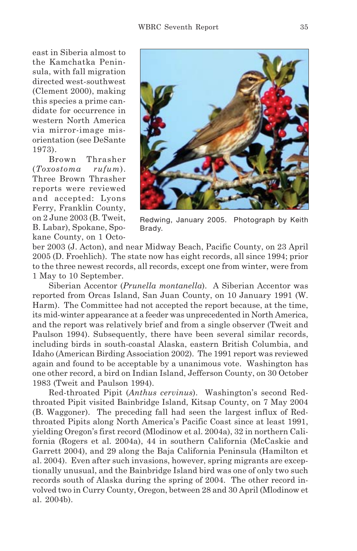east in Siberia almost to the Kamchatka Peninsula, with fall migration directed west-southwest (Clement 2000), making this species a prime candidate for occurrence in western North America via mirror-image misorientation (see DeSante 1973).

Brown Thrasher (*Toxostoma rufum*). Three Brown Thrasher reports were reviewed and accepted: Lyons Ferry, Franklin County, on 2 June 2003 (B. Tweit, B. Labar), Spokane, Spokane County, on 1 Octo-



Redwing, January 2005. Photograph by Keith Brady.

ber 2003 (J. Acton), and near Midway Beach, Pacific County, on 23 April 2005 (D. Froehlich). The state now has eight records, all since 1994; prior to the three newest records, all records, except one from winter, were from 1 May to 10 September.

Siberian Accentor (*Prunella montanella*). A Siberian Accentor was reported from Orcas Island, San Juan County, on 10 January 1991 (W. Harm). The Committee had not accepted the report because, at the time, its mid-winter appearance at a feeder was unprecedented in North America, and the report was relatively brief and from a single observer (Tweit and Paulson 1994). Subsequently, there have been several similar records, including birds in south-coastal Alaska, eastern British Columbia, and Idaho (American Birding Association 2002). The 1991 report was reviewed again and found to be acceptable by a unanimous vote. Washington has one other record, a bird on Indian Island, Jefferson County, on 30 October 1983 (Tweit and Paulson 1994).

Red-throated Pipit (*Anthus cervinus*). Washington's second Redthroated Pipit visited Bainbridge Island, Kitsap County, on 7 May 2004 (B. Waggoner). The preceding fall had seen the largest influx of Redthroated Pipits along North America's Pacific Coast since at least 1991, yielding Oregon's first record (Mlodinow et al. 2004a), 32 in northern California (Rogers et al. 2004a), 44 in southern California (McCaskie and Garrett 2004), and 29 along the Baja California Peninsula (Hamilton et al. 2004). Even after such invasions, however, spring migrants are exceptionally unusual, and the Bainbridge Island bird was one of only two such records south of Alaska during the spring of 2004. The other record involved two in Curry County, Oregon, between 28 and 30 April (Mlodinow et al. 2004b).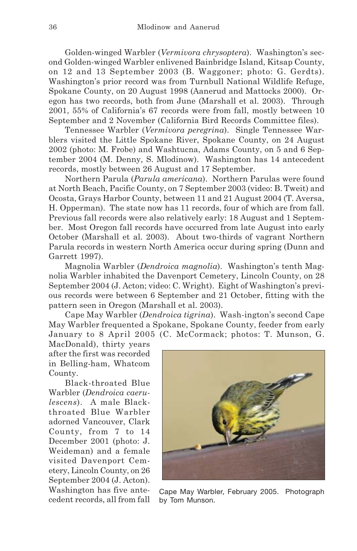Golden-winged Warbler (*Vermivora chrysoptera*). Washington's second Golden-winged Warbler enlivened Bainbridge Island, Kitsap County, on 12 and 13 September 2003 (B. Waggoner; photo: G. Gerdts). Washington's prior record was from Turnbull National Wildlife Refuge, Spokane County, on 20 August 1998 (Aanerud and Mattocks 2000). Oregon has two records, both from June (Marshall et al. 2003). Through 2001, 55% of California's 67 records were from fall, mostly between 10 September and 2 November (California Bird Records Committee files).

Tennessee Warbler (*Vermivora peregrina*). Single Tennessee Warblers visited the Little Spokane River, Spokane County, on 24 August 2002 (photo: M. Frobe) and Washtucna, Adams County, on 5 and 6 September 2004 (M. Denny, S. Mlodinow). Washington has 14 antecedent records, mostly between 26 August and 17 September.

Northern Parula (*Parula americana*). Northern Parulas were found at North Beach, Pacific County, on 7 September 2003 (video: B. Tweit) and Ocosta, Grays Harbor County, between 11 and 21 August 2004 (T. Aversa, H. Opperman). The state now has 11 records, four of which are from fall. Previous fall records were also relatively early: 18 August and 1 September. Most Oregon fall records have occurred from late August into early October (Marshall et al. 2003). About two-thirds of vagrant Northern Parula records in western North America occur during spring (Dunn and Garrett 1997).

Magnolia Warbler (*Dendroica magnolia*). Washington's tenth Magnolia Warbler inhabited the Davenport Cemetery, Lincoln County, on 28 September 2004 (J. Acton; video: C. Wright). Eight of Washington's previous records were between 6 September and 21 October, fitting with the pattern seen in Oregon (Marshall et al. 2003).

Cape May Warbler (*Dendroica tigrina*). Wash-ington's second Cape May Warbler frequented a Spokane, Spokane County, feeder from early January to 8 April 2005 (C. McCormack; photos: T. Munson, G.

MacDonald), thirty years after the first was recorded in Belling-ham, Whatcom County.

Black-throated Blue Warbler (*Dendroica caerulescens*). A male Blackthroated Blue Warbler adorned Vancouver, Clark County, from 7 to 14 December 2001 (photo: J. Weideman) and a female visited Davenport Cemetery, Lincoln County, on 26 September 2004 (J. Acton). Washington has five antecedent records, all from fall



Cape May Warbler, February 2005. Photograph by Tom Munson.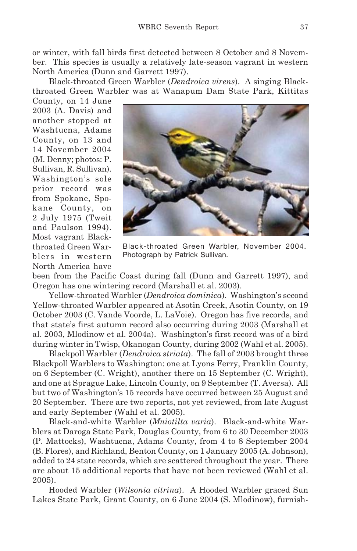or winter, with fall birds first detected between 8 October and 8 November. This species is usually a relatively late-season vagrant in western North America (Dunn and Garrett 1997).

Black-throated Green Warbler (*Dendroica virens*). A singing Blackthroated Green Warbler was at Wanapum Dam State Park, Kittitas

County, on 14 June 2003 (A. Davis) and another stopped at Washtucna, Adams County, on 13 and 14 November 2004 (M. Denny; photos: P. Sullivan, R. Sullivan). Washington's sole prior record was from Spokane, Spokane County, on 2 July 1975 (Tweit and Paulson 1994). Most vagrant Blackthroated Green Warblers in western North America have



Black-throated Green Warbler, November 2004. Photograph by Patrick Sullivan.

been from the Pacific Coast during fall (Dunn and Garrett 1997), and Oregon has one wintering record (Marshall et al. 2003).

Yellow-throated Warbler (*Dendroica dominica*). Washington's second Yellow-throated Warbler appeared at Asotin Creek, Asotin County, on 19 October 2003 (C. Vande Voorde, L. LaVoie). Oregon has five records, and that state's first autumn record also occurring during 2003 (Marshall et al. 2003, Mlodinow et al. 2004a). Washington's first record was of a bird during winter in Twisp, Okanogan County, during 2002 (Wahl et al. 2005).

Blackpoll Warbler (*Dendroica striata*). The fall of 2003 brought three Blackpoll Warblers to Washington: one at Lyons Ferry, Franklin County, on 6 September (C. Wright), another there on 15 September (C. Wright), and one at Sprague Lake, Lincoln County, on 9 September (T. Aversa). All but two of Washington's 15 records have occurred between 25 August and 20 September. There are two reports, not yet reviewed, from late August and early September (Wahl et al. 2005).

Black-and-white Warbler (*Mniotilta varia*). Black-and-white Warblers at Daroga State Park, Douglas County, from 6 to 30 December 2003 (P. Mattocks), Washtucna, Adams County, from 4 to 8 September 2004 (B. Flores), and Richland, Benton County, on 1 January 2005 (A. Johnson), added to 24 state records, which are scattered throughout the year. There are about 15 additional reports that have not been reviewed (Wahl et al. 2005).

Hooded Warbler (*Wilsonia citrina*). A Hooded Warbler graced Sun Lakes State Park, Grant County, on 6 June 2004 (S. Mlodinow), furnish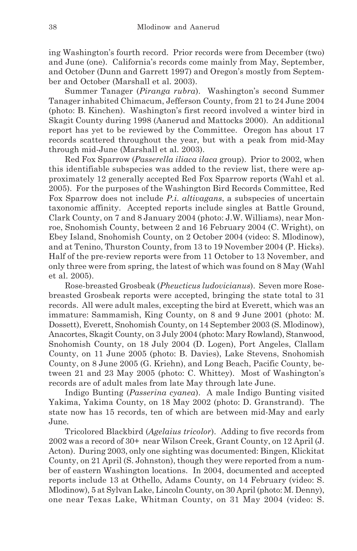ing Washington's fourth record. Prior records were from December (two) and June (one). California's records come mainly from May, September, and October (Dunn and Garrett 1997) and Oregon's mostly from September and October (Marshall et al. 2003).

Summer Tanager (*Piranga rubra*). Washington's second Summer Tanager inhabited Chimacum, Jefferson County, from 21 to 24 June 2004 (photo: B. Kinchen). Washington's first record involved a winter bird in Skagit County during 1998 (Aanerud and Mattocks 2000). An additional report has yet to be reviewed by the Committee. Oregon has about 17 records scattered throughout the year, but with a peak from mid-May through mid-June (Marshall et al. 2003).

Red Fox Sparrow (*Passerella iliaca ilaca* group). Prior to 2002, when this identifiable subspecies was added to the review list, there were approximately 12 generally accepted Red Fox Sparrow reports (Wahl et al. 2005). For the purposes of the Washington Bird Records Committee, Red Fox Sparrow does not include *P.i. altivagans*, a subspecies of uncertain taxonomic affinity. Accepted reports include singles at Battle Ground, Clark County, on 7 and 8 January 2004 (photo: J.W. Williams), near Monroe, Snohomish County, between 2 and 16 February 2004 (C. Wright), on Ebey Island, Snohomish County, on 2 October 2004 (video: S. Mlodinow), and at Tenino, Thurston County, from 13 to 19 November 2004 (P. Hicks). Half of the pre-review reports were from 11 October to 13 November, and only three were from spring, the latest of which was found on 8 May (Wahl et al. 2005).

Rose-breasted Grosbeak (*Pheucticus ludovicianus*). Seven more Rosebreasted Grosbeak reports were accepted, bringing the state total to 31 records. All were adult males, excepting the bird at Everett, which was an immature: Sammamish, King County, on 8 and 9 June 2001 (photo: M. Dossett), Everett, Snohomish County, on 14 September 2003 (S. Mlodinow), Anacortes, Skagit County, on 3 July 2004 (photo: Mary Rowland), Stanwood, Snohomish County, on 18 July 2004 (D. Logen), Port Angeles, Clallam County, on 11 June 2005 (photo: B. Davies), Lake Stevens, Snohomish County, on 8 June 2005 (G. Kriehn), and Long Beach, Pacific County, between 21 and 23 May 2005 (photo: C. Whittey). Most of Washington's records are of adult males from late May through late June.

Indigo Bunting (*Passerina cyanea*). A male Indigo Bunting visited Yakima, Yakima County, on 18 May 2002 (photo: D. Granstrand). The state now has 15 records, ten of which are between mid-May and early June.

Tricolored Blackbird (*Agelaius tricolor*). Adding to five records from 2002 was a record of 30+ near Wilson Creek, Grant County, on 12 April (J. Acton). During 2003, only one sighting was documented: Bingen, Klickitat County, on 21 April (S. Johnston), though they were reported from a number of eastern Washington locations. In 2004, documented and accepted reports include 13 at Othello, Adams County, on 14 February (video: S. Mlodinow), 5 at Sylvan Lake, Lincoln County, on 30 April (photo: M. Denny), one near Texas Lake, Whitman County, on 31 May 2004 (video: S.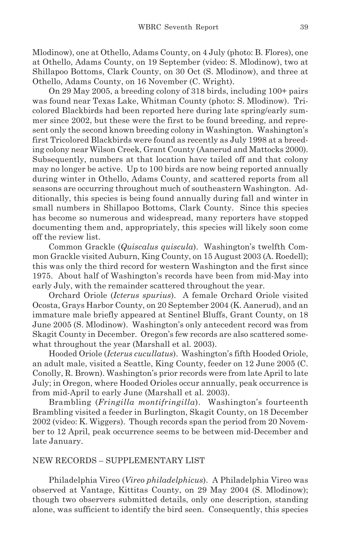Mlodinow), one at Othello, Adams County, on 4 July (photo: B. Flores), one at Othello, Adams County, on 19 September (video: S. Mlodinow), two at Shillapoo Bottoms, Clark County, on 30 Oct (S. Mlodinow), and three at Othello, Adams County, on 16 November (C. Wright).

On 29 May 2005, a breeding colony of 318 birds, including 100+ pairs was found near Texas Lake, Whitman County (photo: S. Mlodinow). Tricolored Blackbirds had been reported here during late spring/early summer since 2002, but these were the first to be found breeding, and represent only the second known breeding colony in Washington. Washington's first Tricolored Blackbirds were found as recently as July 1998 at a breeding colony near Wilson Creek, Grant County (Aanerud and Mattocks 2000). Subsequently, numbers at that location have tailed off and that colony may no longer be active. Up to 100 birds are now being reported annually during winter in Othello, Adams County, and scattered reports from all seasons are occurring throughout much of southeastern Washington. Additionally, this species is being found annually during fall and winter in small numbers in Shillapoo Bottoms, Clark County. Since this species has become so numerous and widespread, many reporters have stopped documenting them and, appropriately, this species will likely soon come off the review list.

Common Grackle (*Quiscalus quiscula*). Washington's twelfth Common Grackle visited Auburn, King County, on 15 August 2003 (A. Roedell); this was only the third record for western Washington and the first since 1975. About half of Washington's records have been from mid-May into early July, with the remainder scattered throughout the year.

Orchard Oriole (*Icterus spurius*). A female Orchard Oriole visited Ocosta, Grays Harbor County, on 20 September 2004 (K. Aanerud), and an immature male briefly appeared at Sentinel Bluffs, Grant County, on 18 June 2005 (S. Mlodinow). Washington's only antecedent record was from Skagit County in December. Oregon's few records are also scattered somewhat throughout the year (Marshall et al. 2003).

Hooded Oriole (*Icterus cucullatus*). Washington's fifth Hooded Oriole, an adult male, visited a Seattle, King County, feeder on 12 June 2005 (C. Conolly, R. Brown). Washington's prior records were from late April to late July; in Oregon, where Hooded Orioles occur annually, peak occurrence is from mid-April to early June (Marshall et al. 2003).

Brambling (*Fringilla montifringilla*). Washington's fourteenth Brambling visited a feeder in Burlington, Skagit County, on 18 December 2002 (video: K. Wiggers). Though records span the period from 20 November to 12 April, peak occurrence seems to be between mid-December and late January.

# NEW RECORDS – SUPPLEMENTARY LIST

Philadelphia Vireo (*Vireo philadelphicus*). A Philadelphia Vireo was observed at Vantage, Kittitas County, on 29 May 2004 (S. Mlodinow); though two observers submitted details, only one description, standing alone, was sufficient to identify the bird seen. Consequently, this species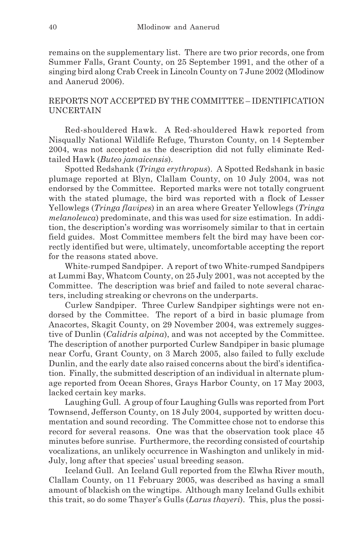remains on the supplementary list. There are two prior records, one from Summer Falls, Grant County, on 25 September 1991, and the other of a singing bird along Crab Creek in Lincoln County on 7 June 2002 (Mlodinow and Aanerud 2006).

# REPORTS NOT ACCEPTED BY THE COMMITTEE – IDENTIFICATION UNCERTAIN

Red-shouldered Hawk. A Red-shouldered Hawk reported from Nisqually National Wildlife Refuge, Thurston County, on 14 September 2004, was not accepted as the description did not fully eliminate Redtailed Hawk (*Buteo jamaicensis*).

Spotted Redshank (*Tringa erythropus*). A Spotted Redshank in basic plumage reported at Blyn, Clallam County, on 10 July 2004, was not endorsed by the Committee. Reported marks were not totally congruent with the stated plumage, the bird was reported with a flock of Lesser Yellowlegs (*Tringa flavipes*) in an area where Greater Yellowlegs (*Tringa melanoleuca*) predominate, and this was used for size estimation. In addition, the description's wording was worrisomely similar to that in certain field guides. Most Committee members felt the bird may have been correctly identified but were, ultimately, uncomfortable accepting the report for the reasons stated above.

White-rumped Sandpiper. A report of two White-rumped Sandpipers at Lummi Bay, Whatcom County, on 25 July 2001, was not accepted by the Committee. The description was brief and failed to note several characters, including streaking or chevrons on the underparts.

Curlew Sandpiper. Three Curlew Sandpiper sightings were not endorsed by the Committee. The report of a bird in basic plumage from Anacortes, Skagit County, on 29 November 2004, was extremely suggestive of Dunlin (*Calidris alpina*), and was not accepted by the Committee. The description of another purported Curlew Sandpiper in basic plumage near Corfu, Grant County, on 3 March 2005, also failed to fully exclude Dunlin, and the early date also raised concerns about the bird's identification. Finally, the submitted description of an individual in alternate plumage reported from Ocean Shores, Grays Harbor County, on 17 May 2003, lacked certain key marks.

Laughing Gull. A group of four Laughing Gulls was reported from Port Townsend, Jefferson County, on 18 July 2004, supported by written documentation and sound recording. The Committee chose not to endorse this record for several reasons. One was that the observation took place 45 minutes before sunrise. Furthermore, the recording consisted of courtship vocalizations, an unlikely occurrence in Washington and unlikely in mid-July, long after that species' usual breeding season.

Iceland Gull. An Iceland Gull reported from the Elwha River mouth, Clallam County, on 11 February 2005, was described as having a small amount of blackish on the wingtips. Although many Iceland Gulls exhibit this trait, so do some Thayer's Gulls (*Larus thayeri*). This, plus the possi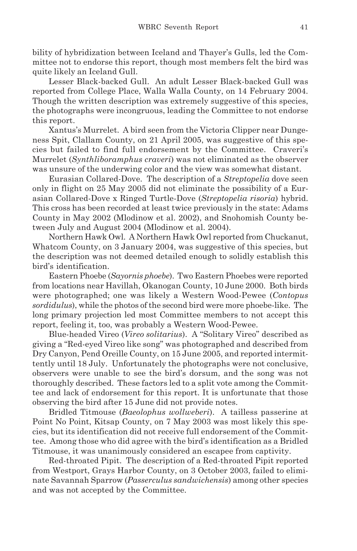bility of hybridization between Iceland and Thayer's Gulls, led the Committee not to endorse this report, though most members felt the bird was quite likely an Iceland Gull.

Lesser Black-backed Gull. An adult Lesser Black-backed Gull was reported from College Place, Walla Walla County, on 14 February 2004. Though the written description was extremely suggestive of this species, the photographs were incongruous, leading the Committee to not endorse this report.

Xantus's Murrelet. A bird seen from the Victoria Clipper near Dungeness Spit, Clallam County, on 21 April 2005, was suggestive of this species but failed to find full endorsement by the Committee. Craveri's Murrelet (*Synthliboramphus craveri*) was not eliminated as the observer was unsure of the underwing color and the view was somewhat distant.

Eurasian Collared-Dove. The description of a *Streptopelia* dove seen only in flight on 25 May 2005 did not eliminate the possibility of a Eurasian Collared-Dove x Ringed Turtle-Dove (*Streptopelia risoria*) hybrid. This cross has been recorded at least twice previously in the state: Adams County in May 2002 (Mlodinow et al. 2002), and Snohomish County between July and August 2004 (Mlodinow et al. 2004).

Northern Hawk Owl. A Northern Hawk Owl reported from Chuckanut, Whatcom County, on 3 January 2004, was suggestive of this species, but the description was not deemed detailed enough to solidly establish this bird's identification.

Eastern Phoebe (*Sayornis phoebe*). Two Eastern Phoebes were reported from locations near Havillah, Okanogan County, 10 June 2000. Both birds were photographed; one was likely a Western Wood-Pewee (*Contopus sordidulus*), while the photos of the second bird were more phoebe-like. The long primary projection led most Committee members to not accept this report, feeling it, too, was probably a Western Wood-Pewee.

Blue-headed Vireo (*Vireo solitarius*). A "Solitary Vireo" described as giving a "Red-eyed Vireo like song" was photographed and described from Dry Canyon, Pend Oreille County, on 15 June 2005, and reported intermittently until 18 July. Unfortunately the photographs were not conclusive, observers were unable to see the bird's dorsum, and the song was not thoroughly described. These factors led to a split vote among the Committee and lack of endorsement for this report. It is unfortunate that those observing the bird after 15 June did not provide notes.

Bridled Titmouse (*Baeolophus wollweberi*). A tailless passerine at Point No Point, Kitsap County, on 7 May 2003 was most likely this species, but its identification did not receive full endorsement of the Committee. Among those who did agree with the bird's identification as a Bridled Titmouse, it was unanimously considered an escapee from captivity.

Red-throated Pipit. The description of a Red-throated Pipit reported from Westport, Grays Harbor County, on 3 October 2003, failed to eliminate Savannah Sparrow (*Passerculus sandwichensis*) among other species and was not accepted by the Committee.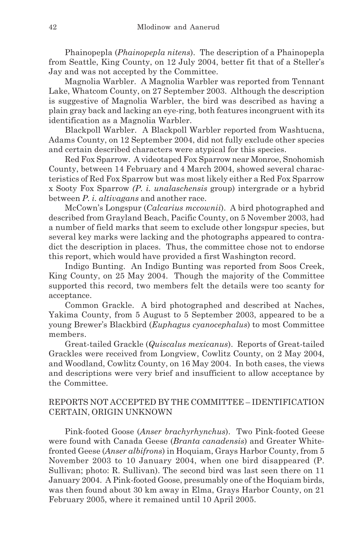Phainopepla (*Phainopepla nitens*). The description of a Phainopepla from Seattle, King County, on 12 July 2004, better fit that of a Steller's Jay and was not accepted by the Committee.

Magnolia Warbler. A Magnolia Warbler was reported from Tennant Lake, Whatcom County, on 27 September 2003. Although the description is suggestive of Magnolia Warbler, the bird was described as having a plain gray back and lacking an eye-ring, both features incongruent with its identification as a Magnolia Warbler.

Blackpoll Warbler. A Blackpoll Warbler reported from Washtucna, Adams County, on 12 September 2004, did not fully exclude other species and certain described characters were atypical for this species.

Red Fox Sparrow. A videotaped Fox Sparrow near Monroe, Snohomish County, between 14 February and 4 March 2004, showed several characteristics of Red Fox Sparrow but was most likely either a Red Fox Sparrow x Sooty Fox Sparrow *(P. i. unalaschensis* group) intergrade or a hybrid between *P. i. altivagans* and another race.

McCown's Longspur (*Calcarius mccownii*). A bird photographed and described from Grayland Beach, Pacific County, on 5 November 2003, had a number of field marks that seem to exclude other longspur species, but several key marks were lacking and the photographs appeared to contradict the description in places. Thus, the committee chose not to endorse this report, which would have provided a first Washington record.

Indigo Bunting. An Indigo Bunting was reported from Soos Creek, King County, on 25 May 2004. Though the majority of the Committee supported this record, two members felt the details were too scanty for acceptance.

Common Grackle. A bird photographed and described at Naches, Yakima County, from 5 August to 5 September 2003, appeared to be a young Brewer's Blackbird (*Euphagus cyanocephalus*) to most Committee members.

Great-tailed Grackle (*Quiscalus mexicanus*). Reports of Great-tailed Grackles were received from Longview, Cowlitz County, on 2 May 2004, and Woodland, Cowlitz County, on 16 May 2004. In both cases, the views and descriptions were very brief and insufficient to allow acceptance by the Committee.

# REPORTS NOT ACCEPTED BY THE COMMITTEE – IDENTIFICATION CERTAIN, ORIGIN UNKNOWN

Pink-footed Goose (*Anser brachyrhynchus*). Two Pink-footed Geese were found with Canada Geese (*Branta canadensis*) and Greater Whitefronted Geese (*Anser albifrons*) in Hoquiam, Grays Harbor County, from 5 November 2003 to 10 January 2004, when one bird disappeared (P. Sullivan; photo: R. Sullivan). The second bird was last seen there on 11 January 2004. A Pink-footed Goose, presumably one of the Hoquiam birds, was then found about 30 km away in Elma, Grays Harbor County, on 21 February 2005, where it remained until 10 April 2005.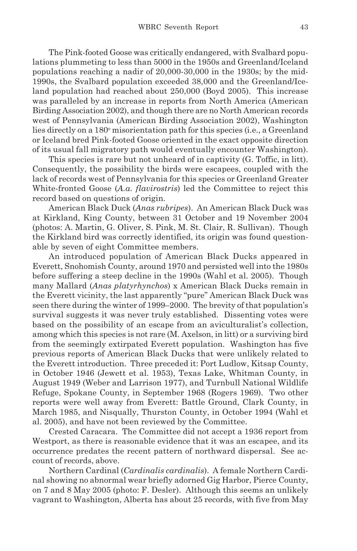The Pink-footed Goose was critically endangered, with Svalbard populations plummeting to less than 5000 in the 1950s and Greenland/Iceland populations reaching a nadir of 20,000-30,000 in the 1930s; by the mid-1990s, the Svalbard population exceeded 38,000 and the Greenland/Iceland population had reached about 250,000 (Boyd 2005). This increase was paralleled by an increase in reports from North America (American Birding Association 2002), and though there are no North American records west of Pennsylvania (American Birding Association 2002), Washington lies directly on a 180<sup>°</sup> misorientation path for this species (i.e., a Greenland or Iceland bred Pink-footed Goose oriented in the exact opposite direction of its usual fall migratory path would eventually encounter Washington).

This species is rare but not unheard of in captivity (G. Toffic, in litt). Consequently, the possibility the birds were escapees, coupled with the lack of records west of Pennsylvania for this species or Greenland Greater White-fronted Goose (*A.a. flavirostris*) led the Committee to reject this record based on questions of origin.

American Black Duck (*Anas rubripes*). An American Black Duck was at Kirkland, King County, between 31 October and 19 November 2004 (photos: A. Martin, G. Oliver, S. Pink, M. St. Clair, R. Sullivan). Though the Kirkland bird was correctly identified, its origin was found questionable by seven of eight Committee members.

An introduced population of American Black Ducks appeared in Everett, Snohomish County, around 1970 and persisted well into the 1980s before suffering a steep decline in the 1990s (Wahl et al. 2005). Though many Mallard (*Anas platyrhynchos*) x American Black Ducks remain in the Everett vicinity, the last apparently "pure" American Black Duck was seen there during the winter of 1999–2000. The brevity of that population's survival suggests it was never truly established. Dissenting votes were based on the possibility of an escape from an aviculturalist's collection, among which this species is not rare (M. Axelson, in litt) or a surviving bird from the seemingly extirpated Everett population. Washington has five previous reports of American Black Ducks that were unlikely related to the Everett introduction. Three preceded it: Port Ludlow, Kitsap County, in October 1946 (Jewett et al. 1953), Texas Lake, Whitman County, in August 1949 (Weber and Larrison 1977), and Turnbull National Wildlife Refuge, Spokane County, in September 1968 (Rogers 1969). Two other reports were well away from Everett: Battle Ground, Clark County, in March 1985, and Nisqually, Thurston County, in October 1994 (Wahl et al. 2005), and have not been reviewed by the Committee.

Crested Caracara. The Committee did not accept a 1936 report from Westport, as there is reasonable evidence that it was an escapee, and its occurrence predates the recent pattern of northward dispersal. See account of records, above.

Northern Cardinal (*Cardinalis cardinalis*). A female Northern Cardinal showing no abnormal wear briefly adorned Gig Harbor, Pierce County, on 7 and 8 May 2005 (photo: F. Desler). Although this seems an unlikely vagrant to Washington, Alberta has about 25 records, with five from May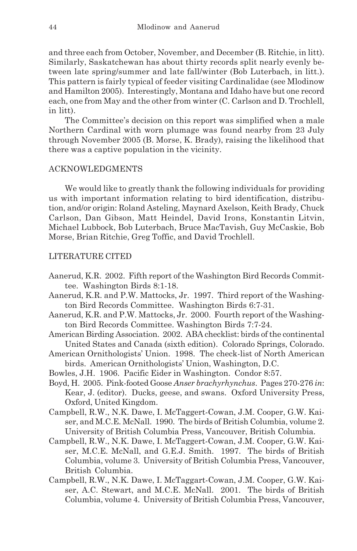and three each from October, November, and December (B. Ritchie, in litt). Similarly, Saskatchewan has about thirty records split nearly evenly between late spring/summer and late fall/winter (Bob Luterbach, in litt.). This pattern is fairly typical of feeder visiting Cardinalidae (see Mlodinow and Hamilton 2005). Interestingly, Montana and Idaho have but one record each, one from May and the other from winter (C. Carlson and D. Trochlell, in litt).

The Committee's decision on this report was simplified when a male Northern Cardinal with worn plumage was found nearby from 23 July through November 2005 (B. Morse, K. Brady), raising the likelihood that there was a captive population in the vicinity.

## ACKNOWLEDGMENTS

We would like to greatly thank the following individuals for providing us with important information relating to bird identification, distribution, and/or origin: Roland Asteling, Maynard Axelson, Keith Brady, Chuck Carlson, Dan Gibson, Matt Heindel, David Irons, Konstantin Litvin, Michael Lubbock, Bob Luterbach, Bruce MacTavish, Guy McCaskie, Bob Morse, Brian Ritchie, Greg Toffic, and David Trochlell.

## LITERATURE CITED

- Aanerud, K.R. 2002. Fifth report of the Washington Bird Records Committee. Washington Birds 8:1-18.
- Aanerud, K.R. and P.W. Mattocks, Jr. 1997. Third report of the Washington Bird Records Committee. Washington Birds 6:7-31.
- Aanerud, K.R. and P.W. Mattocks, Jr. 2000. Fourth report of the Washington Bird Records Committee. Washington Birds 7:7-24.
- American Birding Association. 2002. ABA checklist: birds of the continental United States and Canada (sixth edition). Colorado Springs, Colorado.
- American Ornithologists' Union. 1998. The check-list of North American birds. American Ornithologists' Union, Washington, D.C.
- Bowles, J.H. 1906. Pacific Eider in Washington. Condor 8:57.
- Boyd, H. 2005. Pink-footed Goose *Anser brachyrhynchus*. Pages 270-276 *in*: Kear, J. (editor). Ducks, geese, and swans. Oxford University Press, Oxford, United Kingdom.
- Campbell, R.W., N.K. Dawe, I. McTaggert-Cowan, J.M. Cooper, G.W. Kaiser, and M.C.E. McNall. 1990. The birds of British Columbia, volume 2. University of British Columbia Press, Vancouver, British Columbia.
- Campbell, R.W., N.K. Dawe, I. McTaggert-Cowan, J.M. Cooper, G.W. Kaiser, M.C.E. McNall, and G.E.J. Smith. 1997. The birds of British Columbia, volume 3. University of British Columbia Press, Vancouver, British Columbia.
- Campbell, R.W., N.K. Dawe, I. McTaggart-Cowan, J.M. Cooper, G.W. Kaiser, A.C. Stewart, and M.C.E. McNall. 2001. The birds of British Columbia, volume 4. University of British Columbia Press, Vancouver,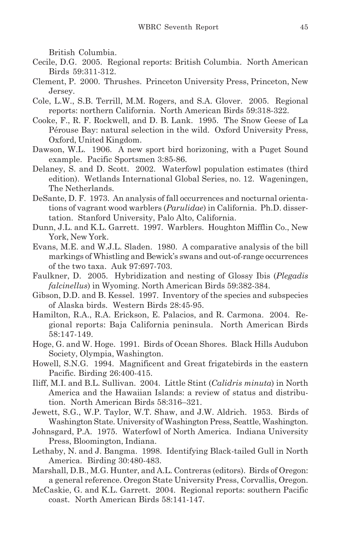British Columbia.

- Cecile, D.G. 2005. Regional reports: British Columbia. North American Birds 59:311-312.
- Clement, P. 2000. Thrushes. Princeton University Press, Princeton, New Jersey.
- Cole, L.W., S.B. Terrill, M.M. Rogers, and S.A. Glover. 2005. Regional reports: northern California. North American Birds 59:318-322.
- Cooke, F., R. F. Rockwell, and D. B. Lank. 1995. The Snow Geese of La Pérouse Bay: natural selection in the wild. Oxford University Press, Oxford, United Kingdom.
- Dawson, W.L. 1906. A new sport bird horizoning, with a Puget Sound example. Pacific Sportsmen 3:85-86.
- Delaney, S. and D. Scott. 2002. Waterfowl population estimates (third edition). Wetlands International Global Series, no. 12. Wageningen, The Netherlands.
- DeSante, D. F. 1973. An analysis of fall occurrences and nocturnal orientations of vagrant wood warblers (*Parulidae*) in California. Ph.D. dissertation. Stanford University, Palo Alto, California.
- Dunn, J.L. and K.L. Garrett. 1997. Warblers. Houghton Mifflin Co., New York, New York.
- Evans, M.E. and W.J.L. Sladen. 1980. A comparative analysis of the bill markings of Whistling and Bewick's swans and out-of-range occurrences of the two taxa. Auk 97:697-703.
- Faulkner, D. 2005. Hybridization and nesting of Glossy Ibis (*Plegadis falcinellus*) in Wyoming. North American Birds 59:382-384.
- Gibson, D.D. and B. Kessel. 1997. Inventory of the species and subspecies of Alaska birds. Western Birds 28:45-95.
- Hamilton, R.A., R.A. Erickson, E. Palacios, and R. Carmona. 2004. Regional reports: Baja California peninsula. North American Birds 58:147-149.
- Hoge, G. and W. Hoge. 1991. Birds of Ocean Shores. Black Hills Audubon Society, Olympia, Washington.
- Howell, S.N.G. 1994. Magnificent and Great frigatebirds in the eastern Pacific. Birding 26:400-415.
- Iliff, M.I. and B.L. Sullivan. 2004. Little Stint (*Calidris minuta*) in North America and the Hawaiian Islands: a review of status and distribution. North American Birds 58:316–321.
- Jewett, S.G., W.P. Taylor, W.T. Shaw, and J.W. Aldrich. 1953. Birds of Washington State. University of Washington Press, Seattle, Washington.
- Johnsgard, P.A. 1975. Waterfowl of North America. Indiana University Press, Bloomington, Indiana.
- Lethaby, N. and J. Bangma. 1998. Identifying Black-tailed Gull in North America. Birding 30:480-483.
- Marshall, D.B., M.G. Hunter, and A.L. Contreras (editors). Birds of Oregon: a general reference. Oregon State University Press, Corvallis, Oregon.
- McCaskie, G. and K.L. Garrett. 2004. Regional reports: southern Pacific coast. North American Birds 58:141-147.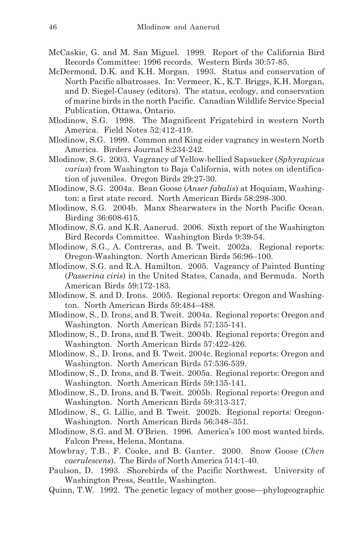- McCaskie, G. and M. San Miguel. 1999. Report of the California Bird Records Committee: 1996 records. Western Birds 30:57-85.
- McDermond, D.K. and K.H. Morgan. 1993. Status and conservation of North Pacific albatrosses. In: Vermeer, K., K.T. Briggs, K.H. Morgan, and D. Siegel-Causey (editors). The status, ecology, and conservation of marine birds in the north Pacific. Canadian Wildlife Service Special Publication, Ottawa, Ontario.
- Mlodinow, S.G. 1998. The Magnificent Frigatebird in western North America. Field Notes 52:412-419.
- Mlodinow, S.G. 1999. Common and King eider vagrancy in western North America. Birders Journal 8:234-242.
- Mlodinow, S.G. 2003. Vagrancy of Yellow-bellied Sapsucker (*Sphyrapicus varius*) from Washington to Baja California, with notes on identification of juveniles. Oregon Birds 29:27-30.
- Mlodinow, S.G. 2004a. Bean Goose (*Anser fabalis*) at Hoquiam, Washington: a first state record. North American Birds 58:298-300.
- Mlodinow, S.G. 2004b. Manx Shearwaters in the North Pacific Ocean. Birding 36:608-615.
- Mlodinow, S.G. and K.R. Aanerud. 2006. Sixth report of the Washington Bird Records Committee. Washington Birds 9:39-54.
- Mlodinow, S.G., A. Contreras, and B. Tweit. 2002a. Regional reports: Oregon-Washington. North American Birds 56:96–100.
- Mlodinow, S.G. and R.A. Hamilton. 2005. Vagrancy of Painted Bunting (*Passerina ciris*) in the United States, Canada, and Bermuda. North American Birds 59:172-183.
- Mlodinow, S. and D. Irons. 2005. Regional reports: Oregon and Washington. North American Birds 59:484–488.
- Mlodinow, S., D. Irons, and B. Tweit. 2004a. Regional reports: Oregon and Washington. North American Birds 57:135-141.
- Mlodinow, S., D. Irons, and B. Tweit. 2004b. Regional reports: Oregon and Washington. North American Birds 57:422-426.
- Mlodinow, S., D. Irons, and B. Tweit. 2004c. Regional reports: Oregon and Washington. North American Birds 57:536-539.
- Mlodinow, S., D. Irons, and B. Tweit. 2005a. Regional reports: Oregon and Washington. North American Birds 59:135-141.
- Mlodinow, S., D. Irons, and B. Tweit. 2005b. Regional reports: Oregon and Washington. North American Birds 59:313-317.
- Mlodinow, S., G. Lillie, and B. Tweit. 2002b. Regional reports: Oregon-Washington. North American Birds 56:348–351.
- Mlodinow, S.G. and M. O'Brien. 1996. America's 100 most wanted birds. Falcon Press, Helena, Montana.
- Mowbray, T.B., F. Cooke, and B. Ganter. 2000. Snow Goose (*Chen caerulescens*). The Birds of North America 514:1-40.
- Paulson, D. 1993. Shorebirds of the Pacific Northwest. University of Washington Press, Seattle, Washington.
- Quinn, T.W. 1992. The genetic legacy of mother goose—phylogeographic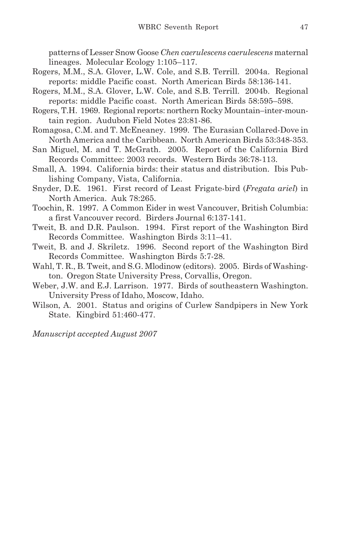patterns of Lesser Snow Goose *Chen caerulescens caerulescens* maternal lineages. Molecular Ecology 1:105–117.

- Rogers, M.M., S.A. Glover, L.W. Cole, and S.B. Terrill. 2004a. Regional reports: middle Pacific coast. North American Birds 58:136-141.
- Rogers, M.M., S.A. Glover, L.W. Cole, and S.B. Terrill. 2004b. Regional reports: middle Pacific coast. North American Birds 58:595–598.
- Rogers, T.H. 1969. Regional reports: northern Rocky Mountain–inter-mountain region. Audubon Field Notes 23:81-86.
- Romagosa, C.M. and T. McEneaney. 1999. The Eurasian Collared-Dove in North America and the Caribbean. North American Birds 53:348-353.
- San Miguel, M. and T. McGrath. 2005. Report of the California Bird Records Committee: 2003 records. Western Birds 36:78-113.
- Small, A. 1994. California birds: their status and distribution. Ibis Publishing Company, Vista, California.
- Snyder, D.E. 1961. First record of Least Frigate-bird (*Fregata ariel*) in North America. Auk 78:265.
- Toochin, R. 1997. A Common Eider in west Vancouver, British Columbia: a first Vancouver record. Birders Journal 6:137-141.
- Tweit, B. and D.R. Paulson. 1994. First report of the Washington Bird Records Committee. Washington Birds 3:11–41.
- Tweit, B. and J. Skriletz. 1996. Second report of the Washington Bird Records Committee. Washington Birds 5:7-28.
- Wahl, T. R., B. Tweit, and S.G. Mlodinow (editors). 2005. Birds of Washington. Oregon State University Press, Corvallis, Oregon.
- Weber, J.W. and E.J. Larrison. 1977. Birds of southeastern Washington. University Press of Idaho, Moscow, Idaho.
- Wilson, A. 2001. Status and origins of Curlew Sandpipers in New York State. Kingbird 51:460-477.

*Manuscript accepted August 2007*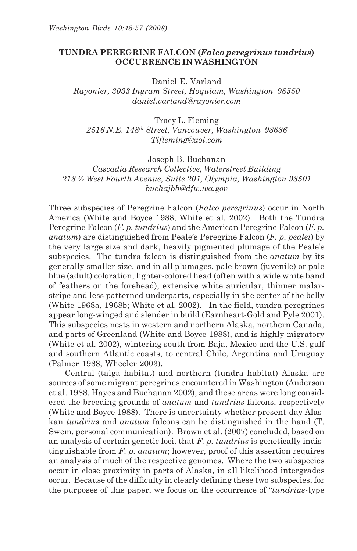## **TUNDRA PEREGRINE FALCON (***Falco peregrinus tundrius***) OCCURRENCE IN WASHINGTON**

Daniel E. Varland *Rayonier, 3033 Ingram Street, Hoquiam, Washington 98550 daniel.varland@rayonier.com*

Tracy L. Fleming *2516 N.E. 148th Street, Vancouver, Washington 98686 Tlfleming@aol.com*

Joseph B. Buchanan *Cascadia Research Collective, Waterstreet Building 218 ½ West Fourth Avenue, Suite 201, Olympia, Washington 98501 buchajbb@dfw.wa.gov*

Three subspecies of Peregrine Falcon (*Falco peregrinus*) occur in North America (White and Boyce 1988, White et al. 2002). Both the Tundra Peregrine Falcon (*F. p. tundrius*) and the American Peregrine Falcon (*F. p. anatum*) are distinguished from Peale's Peregrine Falcon (*F. p. pealei*) by the very large size and dark, heavily pigmented plumage of the Peale's subspecies. The tundra falcon is distinguished from the *anatum* by its generally smaller size, and in all plumages, pale brown (juvenile) or pale blue (adult) coloration, lighter-colored head (often with a wide white band of feathers on the forehead), extensive white auricular, thinner malarstripe and less patterned underparts, especially in the center of the belly (White 1968a, 1968b; White et al. 2002). In the field, tundra peregrines appear long-winged and slender in build (Earnheart-Gold and Pyle 2001). This subspecies nests in western and northern Alaska, northern Canada, and parts of Greenland (White and Boyce 1988), and is highly migratory (White et al. 2002), wintering south from Baja, Mexico and the U.S. gulf and southern Atlantic coasts, to central Chile, Argentina and Uruguay (Palmer 1988, Wheeler 2003).

Central (taiga habitat) and northern (tundra habitat) Alaska are sources of some migrant peregrines encountered in Washington (Anderson et al. 1988, Hayes and Buchanan 2002), and these areas were long considered the breeding grounds of *anatum* and *tundrius* falcons, respectively (White and Boyce 1988). There is uncertainty whether present-day Alaskan *tundrius* and *anatum* falcons can be distinguished in the hand (T. Swem, personal communication). Brown et al. (2007) concluded, based on an analysis of certain genetic loci, that *F. p. tundrius* is genetically indistinguishable from *F. p. anatum*; however, proof of this assertion requires an analysis of much of the respective genomes. Where the two subspecies occur in close proximity in parts of Alaska, in all likelihood intergrades occur. Because of the difficulty in clearly defining these two subspecies, for the purposes of this paper, we focus on the occurrence of "*tundrius*-type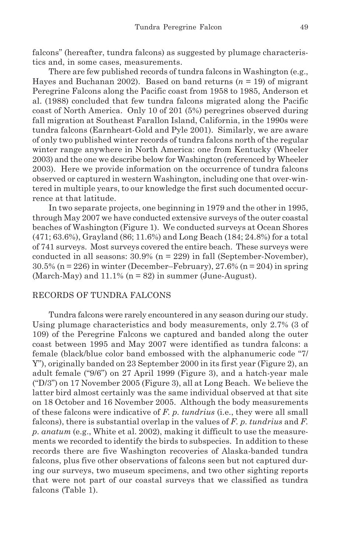falcons" (hereafter, tundra falcons) as suggested by plumage characteristics and, in some cases, measurements.

There are few published records of tundra falcons in Washington (e.g., Hayes and Buchanan 2002). Based on band returns (*n* = 19) of migrant Peregrine Falcons along the Pacific coast from 1958 to 1985, Anderson et al. (1988) concluded that few tundra falcons migrated along the Pacific coast of North America. Only 10 of 201 (5%) peregrines observed during fall migration at Southeast Farallon Island, California, in the 1990s were tundra falcons (Earnheart-Gold and Pyle 2001). Similarly, we are aware of only two published winter records of tundra falcons north of the regular winter range anywhere in North America: one from Kentucky (Wheeler 2003) and the one we describe below for Washington (referenced by Wheeler 2003). Here we provide information on the occurrence of tundra falcons observed or captured in western Washington, including one that over-wintered in multiple years, to our knowledge the first such documented occurrence at that latitude.

In two separate projects, one beginning in 1979 and the other in 1995, through May 2007 we have conducted extensive surveys of the outer coastal beaches of Washington (Figure 1). We conducted surveys at Ocean Shores (471; 63.6%), Grayland (86; 11.6%) and Long Beach (184; 24.8%) for a total of 741 surveys. Most surveys covered the entire beach. These surveys were conducted in all seasons:  $30.9\%$  (n = 229) in fall (September-November),  $30.5\%$  (n = 226) in winter (December–February),  $27.6\%$  (n = 204) in spring (March-May) and  $11.1\%$  ( $n = 82$ ) in summer (June-August).

#### RECORDS OF TUNDRA FALCONS

Tundra falcons were rarely encountered in any season during our study. Using plumage characteristics and body measurements, only 2.7% (3 of 109) of the Peregrine Falcons we captured and banded along the outer coast between 1995 and May 2007 were identified as tundra falcons: a female (black/blue color band embossed with the alphanumeric code "7/ Y"), originally banded on 23 September 2000 in its first year (Figure 2), an adult female ("9/6") on 27 April 1999 (Figure 3), and a hatch-year male ("D/3") on 17 November 2005 (Figure 3), all at Long Beach. We believe the latter bird almost certainly was the same individual observed at that site on 18 October and 16 November 2005. Although the body measurements of these falcons were indicative of *F. p. tundrius* (i.e., they were all small falcons), there is substantial overlap in the values of *F. p. tundrius* and *F. p. anatum* (e.g., White et al. 2002), making it difficult to use the measurements we recorded to identify the birds to subspecies. In addition to these records there are five Washington recoveries of Alaska-banded tundra falcons, plus five other observations of falcons seen but not captured during our surveys, two museum specimens, and two other sighting reports that were not part of our coastal surveys that we classified as tundra falcons (Table 1).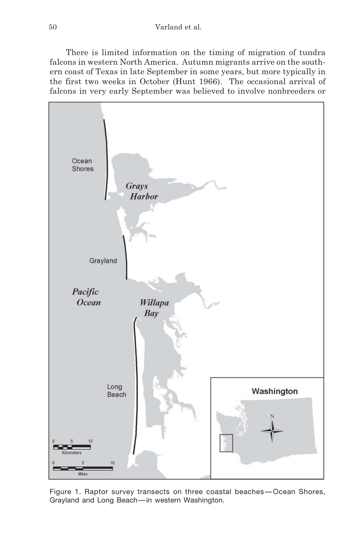There is limited information on the timing of migration of tundra falcons in western North America. Autumn migrants arrive on the southern coast of Texas in late September in some years, but more typically in the first two weeks in October (Hunt 1966). The occasional arrival of falcons in very early September was believed to involve nonbreeders or



Figure 1. Raptor survey transects on three coastal beaches—Ocean Shores, Grayland and Long Beach—in western Washington.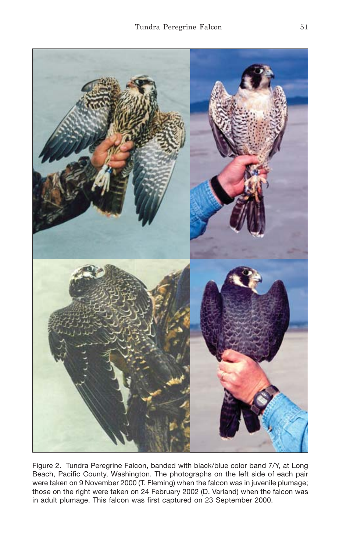

Figure 2. Tundra Peregrine Falcon, banded with black/blue color band 7/Y, at Long Beach, Pacific County, Washington. The photographs on the left side of each pair were taken on 9 November 2000 (T. Fleming) when the falcon was in juvenile plumage; those on the right were taken on 24 February 2002 (D. Varland) when the falcon was in adult plumage. This falcon was first captured on 23 September 2000.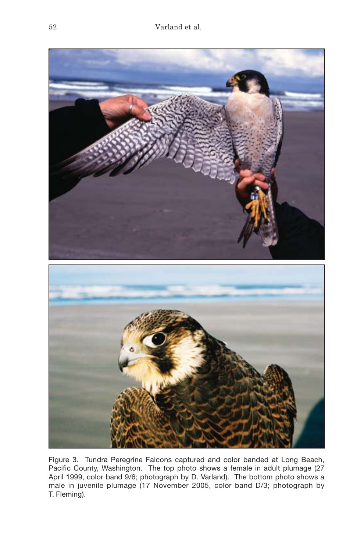

Figure 3. Tundra Peregrine Falcons captured and color banded at Long Beach, Pacific County, Washington. The top photo shows a female in adult plumage (27 April 1999, color band 9/6; photograph by D. Varland). The bottom photo shows a male in juvenile plumage (17 November 2005, color band D/3; photograph by T. Fleming).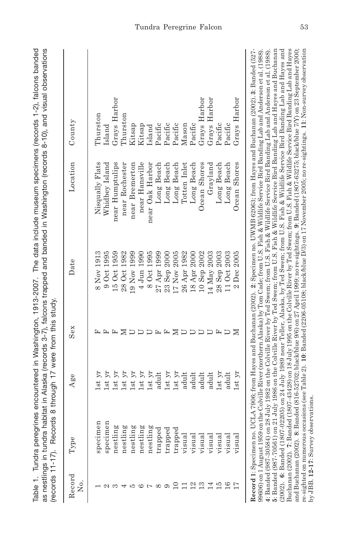| specimen<br>specimen<br>nestling<br>nestling<br>nestling<br>nestling<br>nestling<br>trapped                                                                                                                                                                                                                          | Age                        | Sex | Date                           | Location        | County       |
|----------------------------------------------------------------------------------------------------------------------------------------------------------------------------------------------------------------------------------------------------------------------------------------------------------------------|----------------------------|-----|--------------------------------|-----------------|--------------|
|                                                                                                                                                                                                                                                                                                                      | $\overline{\text{st}}$     |     | 8 Nov 1913                     | Nisqually Flats | Thurston     |
|                                                                                                                                                                                                                                                                                                                      | $1st\ yr$                  |     | 90ct1995                       | Whidbey Island  | Island       |
|                                                                                                                                                                                                                                                                                                                      | $\lambda$<br>lst           |     | 15 Oct 1959                    | near Humptulips | Grays Harbor |
|                                                                                                                                                                                                                                                                                                                      | $\Sigma$<br><b>Lst</b>     | ⋝   | 28 Oct 1982                    | near Rochester  | Phurston     |
|                                                                                                                                                                                                                                                                                                                      | $1\mathrm{st}\mathrm{~yr}$ |     | 19 Nov 1999                    | near Bremerton  | Kitsap       |
|                                                                                                                                                                                                                                                                                                                      | $1st\ yr$                  |     | $4 \text{ Jun } 1990$          | near Hansville  | Kitsap       |
|                                                                                                                                                                                                                                                                                                                      | 1st yr                     |     | 8 Oct 1995                     | near Oak Harbor | Island       |
|                                                                                                                                                                                                                                                                                                                      | adult                      |     | 1999<br>$27$ Apr               | Long Beach      | Pacific      |
| trapped                                                                                                                                                                                                                                                                                                              | $1st\ yr$                  |     | <b>2000</b><br>23 Sep          | Long Beach      | Pacific      |
| $_{\rm{trapped}}$<br>$\overline{10}$                                                                                                                                                                                                                                                                                 | $1st\ yr$                  | ≍   | 2005<br>17 Nov                 | Long Beach      | Pacific      |
| visual<br>$\Box$                                                                                                                                                                                                                                                                                                     | adult                      |     | 1982<br>$26~\mathrm{Apr}$      | Totten Inlet    | Mason        |
| visual<br>12                                                                                                                                                                                                                                                                                                         | adult                      |     | <b>2000</b><br>$18$ Apr        | Long Beach      | Pacific      |
| visual<br>13                                                                                                                                                                                                                                                                                                         | adult                      |     | 2002<br>10Sep                  | Ocean Shores    | Grays Harbor |
| visual<br>14                                                                                                                                                                                                                                                                                                         | adult                      |     | 2003<br>$14$ May               | Grayland        | Grays Harbor |
| visual<br>$\overline{10}$                                                                                                                                                                                                                                                                                            | lst yr                     |     | 2003<br>Sep <sup>:</sup><br>28 | Long Beach      | Pacific      |
| visual<br>16                                                                                                                                                                                                                                                                                                         | adult                      |     | 2003<br>110ct                  | Long Beach      | Pacific      |
| visual                                                                                                                                                                                                                                                                                                               | $1st$ $yr$                 | ⋝   | $2$ Dec $2005$                 | Ocean Shores    | Grays Harbor |
|                                                                                                                                                                                                                                                                                                                      |                            |     |                                |                 |              |
| Record 1: Specimen no. UCLA 7906; from Hayes and Buchanan (2002). 2: Specimen no. UWMB 62063; from Hayes and Buchanan (2002). 3: Banded (527-                                                                                                                                                                        |                            |     |                                |                 |              |
| 99606) on 1 August 1959 on the Colville River (northern Alaska) by Tom Cade; from U.S. Fish & Wildlife Service Bird Banding Lab and Anderson et al. (1988)<br>4: Banded (987-30584) on 28 July 1982 on the Colville River by Ted Swem; from U.S. Fish & Wildlife Service Bird Banding Lab and Anderson et al. (1988) |                            |     |                                |                 |              |
| (2002). 6: Banded (1807-02205) on 24 July 1989 near Teller, Alaska, by Ted Swem; from U.S. Fish & Wildlife Service Bird Banding Lab and Hayes and<br>5: Banded (987-70561) on 21 July 1986 on the Colville River by Ted Swem; from U.S. Fish & Wildlife Service Bird Banding Lab and Hayes and Buchanan              |                            |     |                                |                 |              |
| Buchanan (2002). 7: Banded (1807-43428) on 18 July 1995 on the Colville River by Ted Swem; from U.S. Fish & Wildlife Service Bird Banding Lab and Hayes                                                                                                                                                              |                            |     |                                |                 |              |
| and Buchanan (2002).  8: Banded (816-82702; black/blue 9/6) on 27 April 1999; no re-sightings.  9: Banded (1807-63275; black/blue 7/Y) on 23 September 2000;                                                                                                                                                         |                            |     |                                |                 |              |

Table 1. Tundra peregrines encountered in Washington, 1913-2007. The data include museum specimens (records 1-2), falcons banded

Table 1. Tundra peregrines encountered in Washington, 1913-2007. The data include museum specimens (records 1-2), falcons banded

Tundra Peregrine Falcon 53

and Buchanan (2002). **8**: Banded (816-52702; black/blue 9/6) on 27 April 1999; no re-sightings. **9**: Banded (1807-63275; black/blue 7/Y) on 23 September 2000; re-sighted on numerous occasions (see Table 2). **10**: Banded (2206-05108; black/blue D/3) on 17 November 2005; no re-sightings. **11**: Non-survey observation

re-sighted on numerous consists. The Daniel Construction of the Construction of the Samuel Construction of the<br>Daniel Construction of the Construction of the Capital Capital Construction of the Construction of the Samuel<br>D

by JBB. **12-17**: Survey observations.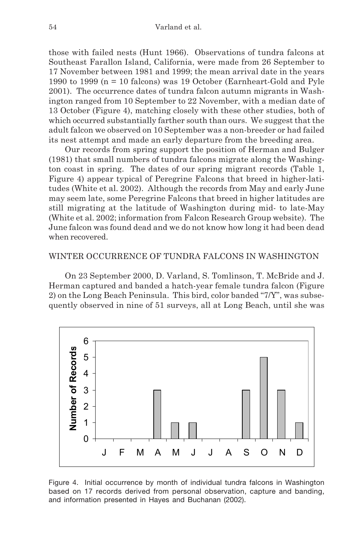those with failed nests (Hunt 1966). Observations of tundra falcons at Southeast Farallon Island, California, were made from 26 September to 17 November between 1981 and 1999; the mean arrival date in the years 1990 to 1999 (n = 10 falcons) was 19 October (Earnheart-Gold and Pyle 2001). The occurrence dates of tundra falcon autumn migrants in Washington ranged from 10 September to 22 November, with a median date of 13 October (Figure 4), matching closely with these other studies, both of which occurred substantially farther south than ours. We suggest that the adult falcon we observed on 10 September was a non-breeder or had failed its nest attempt and made an early departure from the breeding area.

Our records from spring support the position of Herman and Bulger (1981) that small numbers of tundra falcons migrate along the Washington coast in spring. The dates of our spring migrant records (Table 1, Figure 4) appear typical of Peregrine Falcons that breed in higher-latitudes (White et al. 2002). Although the records from May and early June may seem late, some Peregrine Falcons that breed in higher latitudes are still migrating at the latitude of Washington during mid- to late-May (White et al. 2002; information from Falcon Research Group website). The June falcon was found dead and we do not know how long it had been dead when recovered.

# WINTER OCCURRENCE OF TUNDRA FALCONS IN WASHINGTON

On 23 September 2000, D. Varland, S. Tomlinson, T. McBride and J. Herman captured and banded a hatch-year female tundra falcon (Figure 2) on the Long Beach Peninsula. This bird, color banded "7/Y", was subsequently observed in nine of 51 surveys, all at Long Beach, until she was



Figure 4. Initial occurrence by month of individual tundra falcons in Washington based on 17 records derived from personal observation, capture and banding, and information presented in Hayes and Buchanan (2002).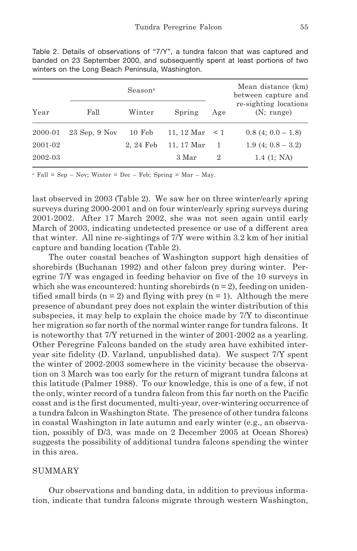|         | Season <sup>a</sup> |          |                     | Mean distance (km)<br>between capture and |                                     |
|---------|---------------------|----------|---------------------|-------------------------------------------|-------------------------------------|
| Year    | Fall                | Winter   | Spring              | Age                                       | re-sighting locations<br>(N: range) |
| 2000-01 | $23$ Sep. $9$ Nov   | 10 Feb   | 11, 12 Mar $\leq 1$ |                                           | $0.8(4; 0.0-1.8)$                   |
| 2001-02 |                     | 2.24 Feb | 11, 17 Mar          | -1                                        | $1.9(4; 0.8-3.2)$                   |
| 2002-03 |                     |          | 3 Mar               | 2                                         | $1.4$ (1; NA)                       |

Table 2. Details of observations of "7/Y", a tundra falcon that was captured and banded on 23 September 2000, and subsequently spent at least portions of two winters on the Long Beach Peninsula, Washington.

 $a$  Fall = Sep – Nov; Winter = Dec – Feb; Spring = Mar – May.

last observed in 2003 (Table 2). We saw her on three winter/early spring surveys during 2000-2001 and on four winter/early spring surveys during 2001-2002. After 17 March 2002, she was not seen again until early March of 2003, indicating undetected presence or use of a different area that winter. All nine re-sightings of 7/Y were within 3.2 km of her initial capture and banding location (Table 2).

The outer coastal beaches of Washington support high densities of shorebirds (Buchanan 1992) and other falcon prey during winter. Peregrine 7/Y was engaged in feeding behavior on five of the 10 surveys in which she was encountered: hunting shore birds  $(n = 2)$ , feeding on unidentified small birds ( $n = 2$ ) and flying with prey ( $n = 1$ ). Although the mere presence of abundant prey does not explain the winter distribution of this subspecies, it may help to explain the choice made by 7/Y to discontinue her migration so far north of the normal winter range for tundra falcons. It is noteworthy that 7/Y returned in the winter of 2001-2002 as a yearling. Other Peregrine Falcons banded on the study area have exhibited interyear site fidelity (D. Varland, unpublished data). We suspect 7/Y spent the winter of 2002-2003 somewhere in the vicinity because the observation on 3 March was too early for the return of migrant tundra falcons at this latitude (Palmer 1988). To our knowledge, this is one of a few, if not the only, winter record of a tundra falcon from this far north on the Pacific coast and is the first documented, multi-year, over-wintering occurrence of a tundra falcon in Washington State. The presence of other tundra falcons in coastal Washington in late autumn and early winter (e.g., an observation, possibly of D/3, was made on 2 December 2005 at Ocean Shores) suggests the possibility of additional tundra falcons spending the winter in this area.

# **SUMMARY**

Our observations and banding data, in addition to previous information, indicate that tundra falcons migrate through western Washington,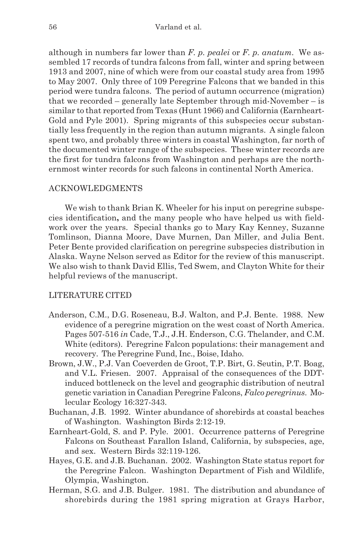although in numbers far lower than *F. p. pealei* or *F. p. anatum*. We assembled 17 records of tundra falcons from fall, winter and spring between 1913 and 2007, nine of which were from our coastal study area from 1995 to May 2007. Only three of 109 Peregrine Falcons that we banded in this period were tundra falcons. The period of autumn occurrence (migration) that we recorded – generally late September through mid-November – is similar to that reported from Texas (Hunt 1966) and California (Earnheart-Gold and Pyle 2001). Spring migrants of this subspecies occur substantially less frequently in the region than autumn migrants. A single falcon spent two, and probably three winters in coastal Washington, far north of the documented winter range of the subspecies. These winter records are the first for tundra falcons from Washington and perhaps are the northernmost winter records for such falcons in continental North America.

### ACKNOWLEDGMENTS

We wish to thank Brian K. Wheeler for his input on peregrine subspecies identification**,** and the many people who have helped us with fieldwork over the years. Special thanks go to Mary Kay Kenney, Suzanne Tomlinson, Dianna Moore, Dave Murnen, Dan Miller, and Julia Bent. Peter Bente provided clarification on peregrine subspecies distribution in Alaska. Wayne Nelson served as Editor for the review of this manuscript. We also wish to thank David Ellis, Ted Swem, and Clayton White for their helpful reviews of the manuscript.

### LITERATURE CITED

- Anderson, C.M., D.G. Roseneau, B.J. Walton, and P.J. Bente. 1988. New evidence of a peregrine migration on the west coast of North America. Pages 507-516 *in* Cade, T.J., J.H. Enderson, C.G. Thelander, and C.M. White (editors). Peregrine Falcon populations: their management and recovery. The Peregrine Fund, Inc., Boise, Idaho.
- Brown, J.W., P.J. Van Coeverden de Groot, T.P. Birt, G. Seutin, P.T. Boag, and V.L. Friesen. 2007. Appraisal of the consequences of the DDTinduced bottleneck on the level and geographic distribution of neutral genetic variation in Canadian Peregrine Falcons, *Falco peregrinus*. Molecular Ecology 16:327-343.
- Buchanan, J.B. 1992. Winter abundance of shorebirds at coastal beaches of Washington. Washington Birds 2:12-19.
- Earnheart-Gold, S. and P. Pyle. 2001. Occurrence patterns of Peregrine Falcons on Southeast Farallon Island, California, by subspecies, age, and sex. Western Birds 32:119-126.
- Hayes, G.E. and J.B. Buchanan. 2002. Washington State status report for the Peregrine Falcon. Washington Department of Fish and Wildlife, Olympia, Washington.
- Herman, S.G. and J.B. Bulger. 1981. The distribution and abundance of shorebirds during the 1981 spring migration at Grays Harbor,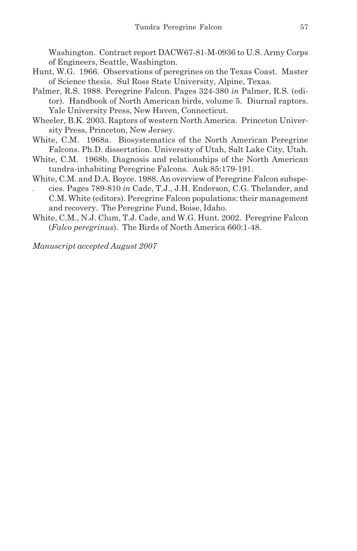Washington. Contract report DACW67-81-M-0936 to U.S. Army Corps of Engineers, Seattle, Washington.

- Hunt, W.G. 1966. Observations of peregrines on the Texas Coast. Master of Science thesis. Sul Ross State University, Alpine, Texas.
- Palmer, R.S. 1988. Peregrine Falcon. Pages 324-380 *in* Palmer, R.S. (editor). Handbook of North American birds, volume 5. Diurnal raptors. Yale University Press, New Haven, Connecticut.
- Wheeler, B.K. 2003. Raptors of western North America. Princeton University Press, Princeton, New Jersey.
- White, C.M. 1968a. Biosystematics of the North American Peregrine Falcons. Ph.D. dissertation. University of Utah, Salt Lake City, Utah.
- White, C.M. 1968b. Diagnosis and relationships of the North American tundra-inhabiting Peregrine Falcons. Auk 85:179-191.
- White, C.M. and D.A. Boyce. 1988. An overview of Peregrine Falcon subspe-
- *.* cies. Pages 789-810 *in* Cade, T.J., J.H. Enderson, C.G. Thelander, and C.M. White (editors). Peregrine Falcon populations: their management and recovery. The Peregrine Fund, Boise, Idaho.
- White, C.M., N.J. Clum, T.J. Cade, and W.G. Hunt. 2002. Peregrine Falcon (*Falco peregrinus*). The Birds of North America 660:1-48.

*Manuscript accepted August 2007*